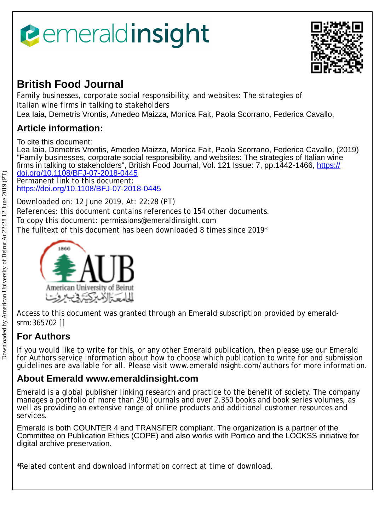# *<u><b>emeraldinsight</u>*



# **British Food Journal**

Family businesses, corporate social responsibility, and websites: The strategies of Italian wine firms in talking to stakeholders Lea Iaia, Demetris Vrontis, Amedeo Maizza, Monica Fait, Paola Scorrano, Federica Cavallo,

# **Article information:**

To cite this document:

Lea Iaia, Demetris Vrontis, Amedeo Maizza, Monica Fait, Paola Scorrano, Federica Cavallo, (2019) "Family businesses, corporate social responsibility, and websites: The strategies of Italian wine firms in talking to stakeholders", British Food Journal, Vol. 121 Issue: 7, pp.1442-1466, [https://](https://doi.org/10.1108/BFJ-07-2018-0445) [doi.org/10.1108/BFJ-07-2018-0445](https://doi.org/10.1108/BFJ-07-2018-0445) Permanent link to this document: <https://doi.org/10.1108/BFJ-07-2018-0445>

Downloaded on: 12 June 2019, At: 22:28 (PT) References: this document contains references to 154 other documents. To copy this document: permissions@emeraldinsight.com The fulltext of this document has been downloaded 8 times since 2019\*



Access to this document was granted through an Emerald subscription provided by emeraldsrm:365702 []

# **For Authors**

If you would like to write for this, or any other Emerald publication, then please use our Emerald for Authors service information about how to choose which publication to write for and submission guidelines are available for all. Please visit www.emeraldinsight.com/authors for more information.

# **About Emerald www.emeraldinsight.com**

Emerald is a global publisher linking research and practice to the benefit of society. The company manages a portfolio of more than 290 journals and over 2,350 books and book series volumes, as well as providing an extensive range of online products and additional customer resources and services.

Emerald is both COUNTER 4 and TRANSFER compliant. The organization is a partner of the Committee on Publication Ethics (COPE) and also works with Portico and the LOCKSS initiative for digital archive preservation.

\*Related content and download information correct at time of download.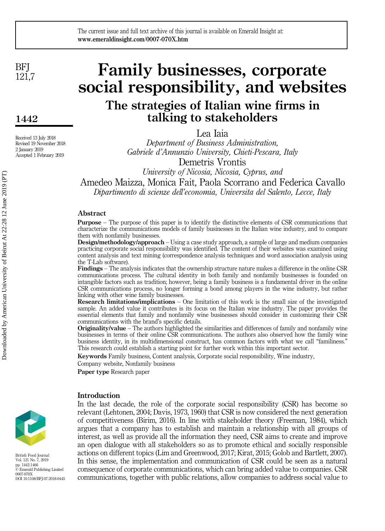BFJ 121,7

1442

Received 13 July 2018 Revised 19 November 2018 2 January 2019 Accepted 1 February 2019

# Family businesses, corporate social responsibility, and websites The strategies of Italian wine firms in talking to stakeholders

Lea Iaia

Department of Business Administration, Gabriele d'Annunzio University, Chieti-Pescara, Italy Demetris Vrontis

University of Nicosia, Nicosia, Cyprus, and

Amedeo Maizza, Monica Fait, Paola Scorrano and Federica Cavallo Dipartimento di scienze dell'economia, Universita del Salento, Lecce, Italy

# Abstract

Purpose – The purpose of this paper is to identify the distinctive elements of CSR communications that characterize the communications models of family businesses in the Italian wine industry, and to compare them with nonfamily businesses.

Design/methodology/approach – Using a case study approach, a sample of large and medium companies practicing corporate social responsibility was identified. The content of their websites was examined using content analysis and text mining (correspondence analysis techniques and word association analysis using the T-Lab software).

Findings – The analysis indicates that the ownership structure nature makes a difference in the online CSR communications process. The cultural identity in both family and nonfamily businesses is founded on intangible factors such as tradition; however, being a family business is a fundamental driver in the online CSR communications process, no longer forming a bond among players in the wine industry, but rather linking with other wine family businesses.

Research limitations/implications – One limitation of this work is the small size of the investigated sample. An added value it contributes is its focus on the Italian wine industry. The paper provides the essential elements that family and nonfamily wine businesses should consider in customizing their CSR communications with the brand's specific details.

**Originality/value** – The authors highlighted the similarities and differences of family and nonfamily wine businesses in terms of their online CSR communications. The authors also observed how the family wine business identity, in its multidimensional construct, has common factors with what we call "familiness." This research could establish a starting point for further work within this important sector.

Keywords Family business, Content analysis, Corporate social responsibility, Wine industry,

Company website, Nonfamily business

Paper type Research paper

# Introduction





British Food Journal Vol. 121 No. 7, 2019 pp. 1442-1466 © Emerald Publishing Limited 0007-070X DOI 10.1108/BFJ-07-2018-0445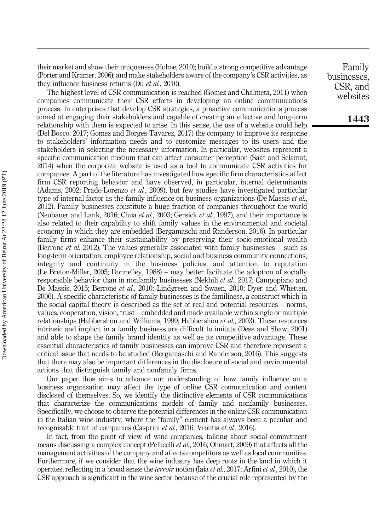their market and show their uniqueness (Holme, 2010); build a strong competitive advantage (Porter and Kramer, 2006); and make stakeholders aware of the company's CSR activities, as they influence business returns (Du et al., 2010).

The highest level of CSR communication is reached (Gomez and Chalmeta, 2011) when companies communicate their CSR efforts in developing an online communications process. In enterprises that develop CSR strategies, a proactive communications process aimed at engaging their stakeholders and capable of creating an effective and long-term relationship with them is expected to arise. In this sense, the use of a website could help (Del Bosco, 2017; Gomez and Borges-Tavarez, 2017) the company to improve its response to stakeholders' information needs and to customize messages to its users and the stakeholders in selecting the necessary information. In particular, websites represent a specific communication medium that can affect consumer perception (Saat and Selamat, 2014) when the corporate website is used as a tool to communicate CSR activities for companies. A part of the literature has investigated how specific firm characteristics affect firm CSR reporting behavior and have observed, in particular, internal determinants (Adams, 2002; Prado-Lorenzo *et al.*, 2009), but few studies have investigated particular type of internal factor as the family influence on business organizations (De Massis *et al.*, 2012). Family businesses constitute a huge fraction of companies throughout the world (Neubauer and Lank, 2016; Chua *et al.*, 2003; Gersick *et al.*, 1997), and their importance is also related to their capability to shift family values in the environmental and societal economy in which they are embedded (Bergamaschi and Randerson, 2016). In particular family firms enhance their sustainability by preserving their socio-emotional wealth (Berrone *et al.* 2012). The values generally associated with family businesses – such as long-term orientation, employee relationship, social and business community connections, integrity and continuity in the business policies, and attention to reputation (Le Breton-Miller, 2005; Donnelley, 1988) – may better facilitate the adoption of socially responsible behavior than in nonfamily businesses (Nekhili *et al.*, 2017; Campopiano and De Massis, 2015; Berrone *et al.*, 2010; Lindgreen and Swaen, 2010; Dyer and Whetten, 2006). A specific characteristic of family businesses is the familiness, a construct which in the social capital theory is described as the set of real and potential resources – norms, values, cooperation, vision, trust – embedded and made available within single or multiple relationships (Habbershon and Williams, 1999; Habbershon et al., 2003). These resources intrinsic and implicit in a family business are difficult to imitate (Dess and Shaw, 2001) and able to shape the family brand identity as well as its competitive advantage. These essential characteristics of family businesses can improve CSR and therefore represent a critical issue that needs to be studied (Bergamaschi and Randerson, 2016). This suggests that there may also be important differences in the disclosure of social and environmental actions that distinguish family and nonfamily firms.

Our paper thus aims to advance our understanding of how family influence on a business organization may affect the type of online CSR communication and content disclosed of themselves. So, we identify the distinctive elements of CSR communications that characterize the communications models of family and nonfamily businesses. Specifically, we choose to observe the potential differences in the online CSR communication in the Italian wine industry, where the "family" element has always been a peculiar and recognizable trait of companies (Casprini et al., 2016; Vrontis et al., 2016).

In fact, from the point of view of wine companies, talking about social commitment means discussing a complex concept (Pellicelli *et al.*, 2016; Ohmart, 2009) that affects all the management activities of the company and affects competitors as well as local communities. Furthermore, if we consider that the wine industry has deep roots in the land in which it operates, reflecting in a broad sense the terroir notion (Iaia et al., 2017; Arfini et al., 2010), the CSR approach is significant in the wine sector because of the crucial role represented by the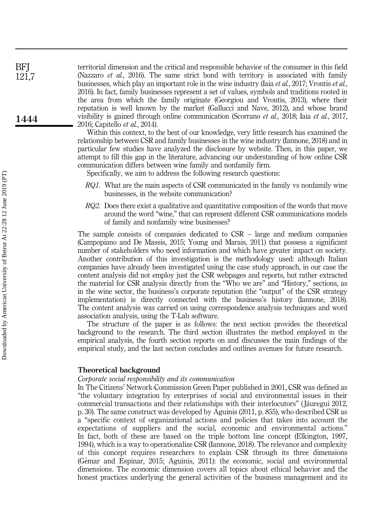territorial dimension and the critical and responsible behavior of the consumer in this field (Nazzaro *et al.*, 2016). The same strict bond with territory is associated with family businesses, which play an important role in the wine industry (Iaia et al., 2017; Vrontis et al., 2016). In fact, family businesses represent a set of values, symbols and traditions rooted in the area from which the family originate (Georgiou and Vrontis, 2013), where their reputation is well known by the market (Gallucci and Nave, 2012), and whose brand visibility is gained through online communication (Scorrano et al., 2018; Iaia et al., 2017, 2016; Capitello et al., 2014).

Within this context, to the best of our knowledge, very little research has examined the relationship between CSR and family businesses in the wine industry (Iannone, 2018) and in particular few studies have analyzed the disclosure by website. Then, in this paper, we attempt to fill this gap in the literature, advancing our understanding of how online CSR communication differs between wine family and nonfamily firm.

Specifically, we aim to address the following research questions:

- RQ1. What are the main aspects of CSR communicated in the family vs nonfamily wine businesses, in the website communication?
- RQ2. Does there exist a qualitative and quantitative composition of the words that move around the word "wine," that can represent different CSR communications models of family and nonfamily wine businesses?

The sample consists of companies dedicated to CSR – large and medium companies (Campopiano and De Massis, 2015; Young and Marais, 2011) that possess a significant number of stakeholders who need information and which have greater impact on society. Another contribution of this investigation is the methodology used: although Italian companies have already been investigated using the case study approach, in our case the content analysis did not employ just the CSR webpages and reports, but rather extracted the material for CSR analysis directly from the "Who we are" and "History," sections, as in the wine sector, the business's corporate reputation (the "output" of the CSR strategy implementation) is directly connected with the business's history (Iannone, 2018). The content analysis was carried on using correspondence analysis techniques and word association analysis, using the T-Lab software.

The structure of the paper is as follows: the next section provides the theoretical background to the research. The third section illustrates the method employed in the empirical analysis, the fourth section reports on and discusses the main findings of the empirical study, and the last section concludes and outlines avenues for future research.

# Theoretical background

# Corporate social responsibility and its communication

In The Citizens' Network-Commission Green Paper published in 2001, CSR was defined as "the voluntary integration by enterprises of social and environmental issues in their commercial transactions and their relationships with their interlocutors" (Jáuregui 2012, p. 30). The same construct was developed by Aguinis (2011, p. 855), who described CSR as a "specific context of organizational actions and policies that takes into account the expectations of suppliers and the social, economic and environmental actions." In fact, both of these are based on the triple bottom line concept (Elkington, 1997, 1994), which is a way to operationalize CSR (Iannone, 2018). The relevance and complexity of this concept requires researchers to explain CSR through its three dimensions (Gémar and Espinar, 2015; Aguinis, 2011): the economic, social and environmental dimensions. The economic dimension covers all topics about ethical behavior and the honest practices underlying the general activities of the business management and its

1444

BFJ 121,7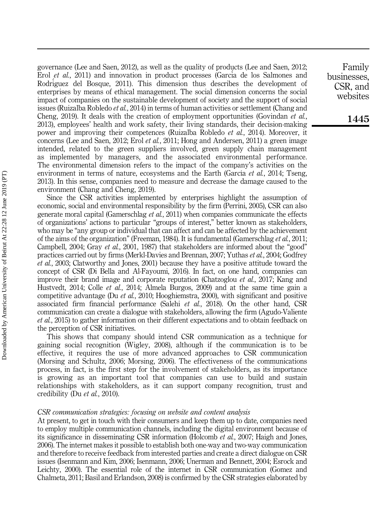governance (Lee and Saen, 2012), as well as the quality of products (Lee and Saen, 2012; Erol et al., 2011) and innovation in product processes (Garcia de los Salmones and Rodriguez del Bosque, 2011). This dimension thus describes the development of enterprises by means of ethical management. The social dimension concerns the social impact of companies on the sustainable development of society and the support of social issues (Ruizalba Robledo *et al.*, 2014) in terms of human activities or settlement (Chang and Cheng, 2019). It deals with the creation of employment opportunities (Govindan *et al.*, 2013), employees' health and work safety, their living standards, their decision-making power and improving their competences (Ruizalba Robledo et al., 2014). Moreover, it concerns (Lee and Saen, 2012; Erol *et al.*, 2011; Hong and Andersen, 2011) a green image intended, related to the green suppliers involved, green supply chain management as implemented by managers, and the associated environmental performance. The environmental dimension refers to the impact of the company's activities on the environment in terms of nature, ecosystems and the Earth (García *et al.*, 2014; Tseng, 2013). In this sense, companies need to measure and decrease the damage caused to the environment (Chang and Cheng, 2019).

Since the CSR activities implemented by enterprises highlight the assumption of economic, social and environmental responsibility by the firm (Perrini, 2005), CSR can also generate moral capital (Gamerschlag et al., 2011) when companies communicate the effects of organizations' actions to particular "groups of interest," better known as stakeholders, who may be "any group or individual that can affect and can be affected by the achievement of the aims of the organization" (Freeman, 1984). It is fundamental (Gamerschlag *et al.*, 2011; Campbell, 2004; Gray et al., 2001, 1987) that stakeholders are informed about the "good" practices carried out by firms (Merkl-Davies and Brennan, 2007; Yuthas et al., 2004; Godfrey et al., 2003; Clatworthy and Jones, 2001) because they have a positive attitude toward the concept of CSR (Di Bella and Al-Fayoumi, 2016). In fact, on one hand, companies can improve their brand image and corporate reputation (Chatzoglou *et al.*, 2017; Kang and Hustvedt, 2014; Colle et al., 2014; Almela Burgos, 2009) and at the same time gain a competitive advantage (Du et al., 2010; Hooghiemstra, 2000), with significant and positive associated firm financial performance (Salehi et al., 2018). On the other hand, CSR communication can create a dialogue with stakeholders, allowing the firm (Agudo-Valiente et al., 2015) to gather information on their different expectations and to obtain feedback on the perception of CSR initiatives.

This shows that company should intend CSR communication as a technique for gaining social recognition (Wigley, 2008), although if the communication is to be effective, it requires the use of more advanced approaches to CSR communication (Morsing and Schultz, 2006; Morsing, 2006). The effectiveness of the communications process, in fact, is the first step for the involvement of stakeholders, as its importance is growing as an important tool that companies can use to build and sustain relationships with stakeholders, as it can support company recognition, trust and credibility (Du et al., 2010).

# CSR communication strategies: focusing on website and content analysis

At present, to get in touch with their consumers and keep them up to date, companies need to employ multiple communication channels, including the digital environment because of its significance in disseminating CSR information (Holcomb et al., 2007; Haigh and Jones, 2006). The internet makes it possible to establish both one-way and two-way communication and therefore to receive feedback from interested parties and create a direct dialogue on CSR issues (Isenmann and Kim, 2006; Isenmann, 2006; Unerman and Bennett, 2004; Esrock and Leichty, 2000). The essential role of the internet in CSR communication (Gomez and Chalmeta, 2011; Basil and Erlandson, 2008) is confirmed by the CSR strategies elaborated by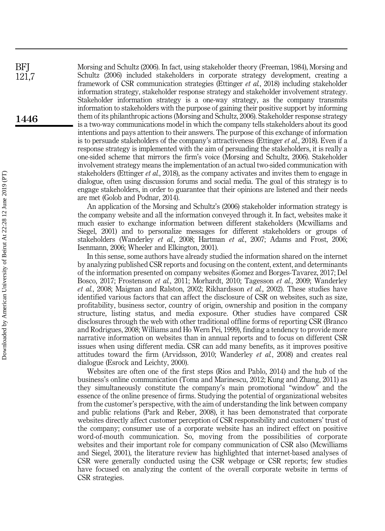Morsing and Schultz (2006). In fact, using stakeholder theory (Freeman, 1984), Morsing and Schultz (2006) included stakeholders in corporate strategy development, creating a framework of CSR communication strategies (Ettinger et al., 2018) including stakeholder information strategy, stakeholder response strategy and stakeholder involvement strategy. Stakeholder information strategy is a one-way strategy, as the company transmits information to stakeholders with the purpose of gaining their positive support by informing them of its philanthropic actions (Morsing and Schultz, 2006). Stakeholder response strategy is a two-way communications model in which the company tells stakeholders about its good intentions and pays attention to their answers. The purpose of this exchange of information is to persuade stakeholders of the company's attractiveness (Ettinger et al., 2018). Even if a response strategy is implemented with the aim of persuading the stakeholders, it is really a one-sided scheme that mirrors the firm's voice (Morsing and Schultz, 2006). Stakeholder involvement strategy means the implementation of an actual two-sided communication with stakeholders (Ettinger *et al.*, 2018), as the company activates and invites them to engage in dialogue, often using discussion forums and social media. The goal of this strategy is to engage stakeholders, in order to guarantee that their opinions are listened and their needs are met (Golob and Podnar, 2014).

An application of the Morsing and Schultz's (2006) stakeholder information strategy is the company website and all the information conveyed through it. In fact, websites make it much easier to exchange information between different stakeholders (Mcwilliams and Siegel, 2001) and to personalize messages for different stakeholders or groups of stakeholders (Wanderley et al., 2008; Hartman et al., 2007; Adams and Frost, 2006; Isenmann, 2006; Wheeler and Elkington, 2001).

In this sense, some authors have already studied the information shared on the internet by analyzing published CSR reports and focusing on the content, extent, and determinants of the information presented on company websites (Gomez and Borges-Tavarez, 2017; Del Bosco, 2017; Frostenson et al., 2011; Morhardt, 2010; Tagesson et al., 2009; Wanderley et al., 2008; Maignan and Ralston, 2002; Rikhardsson et al., 2002). These studies have identified various factors that can affect the disclosure of CSR on websites, such as size, profitability, business sector, country of origin, ownership and position in the company structure, listing status, and media exposure. Other studies have compared CSR disclosures through the web with other traditional offline forms of reporting CSR (Branco and Rodrigues, 2008; Williams and Ho Wern Pei, 1999), finding a tendency to provide more narrative information on websites than in annual reports and to focus on different CSR issues when using different media. CSR can add many benefits, as it improves positive attitudes toward the firm (Arvidsson, 2010; Wanderley et al., 2008) and creates real dialogue (Esrock and Leichty, 2000).

Websites are often one of the first steps (Rios and Pablo, 2014) and the hub of the business's online communication (Toma and Marinescu, 2012; Kung and Zhang, 2011) as they simultaneously constitute the company's main promotional "window" and the essence of the online presence of firms. Studying the potential of organizational websites from the customer's perspective, with the aim of understanding the link between company and public relations (Park and Reber, 2008), it has been demonstrated that corporate websites directly affect customer perception of CSR responsibility and customers' trust of the company; consumer use of a corporate website has an indirect effect on positive word-of-mouth communication. So, moving from the possibilities of corporate websites and their important role for company communication of CSR also (Mcwilliams and Siegel, 2001), the literature review has highlighted that internet-based analyses of CSR were generally conducted using the CSR webpage or CSR reports; few studies have focused on analyzing the content of the overall corporate website in terms of CSR strategies.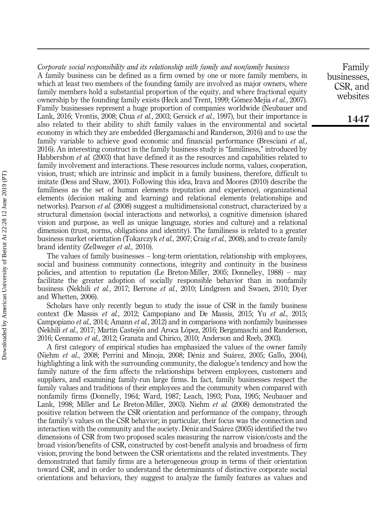# Corporate social responsibility and its relationship with family and nonfamily business

A family business can be defined as a firm owned by one or more family members, in which at least two members of the founding family are involved as major owners, where family members hold a substantial proportion of the equity, and where fractional equity ownership by the founding family exists (Heck and Trent, 1999; Gómez-Mejia et al., 2007). Family businesses represent a huge proportion of companies worldwide (Neubauer and Lank, 2016; Vrontis, 2008; Chua et al., 2003; Gersick et al., 1997), but their importance is also related to their ability to shift family values in the environmental and societal economy in which they are embedded (Bergamaschi and Randerson, 2016) and to use the family variable to achieve good economic and financial performance (Bresciani *et al.*, 2016). An interesting construct in the family business study is "familiness," introduced by Habbershon *et al.* (2003) that have defined it as the resources and capabilities related to family involvement and interactions. These resources include norms, values, cooperation, vision, trust; which are intrinsic and implicit in a family business, therefore, difficult to imitate (Dess and Shaw, 2001). Following this idea, Irava and Moores (2010) describe the familiness as the set of human elements (reputation and experience), organizational elements (decision making and learning) and relational elements (relationships and networks). Pearson *et al.* (2008) suggest a multidimensional construct, characterized by a structural dimension (social interactions and networks), a cognitive dimension (shared vision and purpose, as well as unique language, stories and culture) and a relational dimension (trust, norms, obligations and identity). The familiness is related to a greater business market orientation (Tokarczyk et al., 2007; Craig et al., 2008), and to create family brand identity (Zellweger et al., 2010).

The values of family businesses – long-term orientation, relationship with employees, social and business community connections, integrity and continuity in the business policies, and attention to reputation (Le Breton-Miller, 2005; Donnelley, 1988) – may facilitate the greater adoption of socially responsible behavior than in nonfamily business (Nekhili et al., 2017; Berrone et al., 2010; Lindgreen and Swaen, 2010; Dyer and Whetten, 2006).

Scholars have only recently begun to study the issue of CSR in the family business context (De Massis et al., 2012; Campopiano and De Massis, 2015; Yu et al., 2015; Campopiano et al., 2014; Amann et al., 2012) and in comparisons with nonfamily businesses (Nekhili *et al.*, 2017; Martín Castejón and Aroca López, 2016; Bergamaschi and Randerson, 2016; Cennamo et al., 2012; Granata and Chirico, 2010; Anderson and Reeb, 2003).

A first category of empirical studies has emphasized the values of the owner family (Niehm et al., 2008; Perrini and Minoja, 2008; Déniz and Suárez, 2005; Gallo, 2004), highlighting a link with the surrounding community, the dialogue's tendency and how the family nature of the firm affects the relationships between employees, customers and suppliers, and examining family-run large firms. In fact, family businesses respect the family values and traditions of their employees and the community when compared with nonfamily firms (Donnelly, 1964; Ward, 1987; Leach, 1993; Poza, 1995; Neubauer and Lank, 1998; Miller and Le Breton-Miller, 2003). Niehm et al. (2008) demonstrated the positive relation between the CSR orientation and performance of the company, through the family's values on the CSR behavior; in particular, their focus was the connection and interaction with the community and the society. Déniz and Suárez (2005) identified the two dimensions of CSR from two proposed scales measuring the narrow vision/costs and the broad vision/benefits of CSR, constructed by cost-benefit analysis and broadness of firm vision, proving the bond between the CSR orientations and the related investments. They demonstrated that family firms are a heterogeneous group in terms of their orientation toward CSR, and in order to understand the determinants of distinctive corporate social orientations and behaviors, they suggest to analyze the family features as values and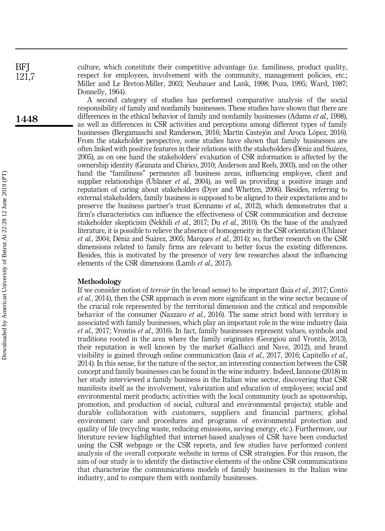culture, which constitute their competitive advantage (i.e. familiness, product quality, respect for employees, involvement with the community, management policies, etc.; Miller and Le Breton-Miller, 2003; Neubauer and Lank, 1998; Poza, 1995; Ward, 1987; Donnelly, 1964).

A second category of studies has performed comparative analysis of the social responsibility of family and nonfamily businesses. These studies have shown that there are differences in the ethical behavior of family and nonfamily businesses (Adams et al., 1998), as well as differences in CSR activities and perceptions among different types of family businesses (Bergamaschi and Randerson, 2016; Martín Castejón and Aroca López, 2016). From the stakeholder perspective, some studies have shown that family businesses are often linked with positive features in their relations with the stakeholders (Déniz and Suárez, 2005), as on one hand the stakeholders' evaluation of CSR information is affected by the ownership identity (Granata and Chirico, 2010; Anderson and Reeb, 2003), and on the other hand the "familiness" permeates all business areas, influencing employee, client and supplier relationships (Uhlaner *et al.*, 2004), as well as providing a positive image and reputation of caring about stakeholders (Dyer and Whetten, 2006). Besides, referring to external stakeholders, family business is supposed to be aligned to their expectations and to preserve the business partner's trust (Cennamo *et al.*, 2012), which demonstrates that a firm's characteristics can influence the effectiveness of CSR communication and decrease stakeholder skepticism (Nekhili et al., 2017; Du et al., 2010). On the base of the analyzed literature, it is possible to relieve the absence of homogeneity in the CSR orientation (Uhlaner et al., 2004; Déniz and Suárez, 2005; Marques et al., 2014); so, further research on the CSR dimensions related to family firms are relevant to better focus the existing differences. Besides, this is motivated by the presence of very few researches about the influencing elements of the CSR dimensions (Lamb et al., 2017).

# Methodology

If we consider notion of terroir (in the broad sense) to be important (Iaia et al., 2017; Contò et al., 2014), then the CSR approach is even more significant in the wine sector because of the crucial role represented by the territorial dimension and the critical and responsible behavior of the consumer (Nazzaro *et al.*, 2016). The same strict bond with territory is associated with family businesses, which play an important role in the wine industry (Iaia et al., 2017; Vrontis et al., 2016). In fact, family businesses represent values, symbols and traditions rooted in the area where the family originates (Georgiou and Vrontis, 2013), their reputation is well known by the market (Gallucci and Nave, 2012), and brand visibility is gained through online communication (Iaia et al., 2017, 2016; Capitello et al., 2014). In this sense, for the nature of the sector, an interesting connection between the CSR concept and family businesses can be found in the wine industry. Indeed, Iannone (2018) in her study interviewed a family business in the Italian wine sector, discovering that CSR manifests itself as the involvement, valorization and education of employees; social and environmental merit products; activities with the local community (such as sponsorship, promotion, and production of social, cultural and environmental projects); stable and durable collaboration with customers, suppliers and financial partners; global environment care and procedures and programs of environmental protection and quality of life (recycling waste, reducing emissions, saving energy, etc.). Furthermore, our literature review highlighted that internet-based analyses of CSR have been conducted using the CSR webpage or the CSR reports, and few studies have performed content analysis of the overall corporate website in terms of CSR strategies. For this reason, the aim of our study is to identify the distinctive elements of the online CSR communications that characterize the communications models of family businesses in the Italian wine industry, and to compare them with nonfamily businesses.

1448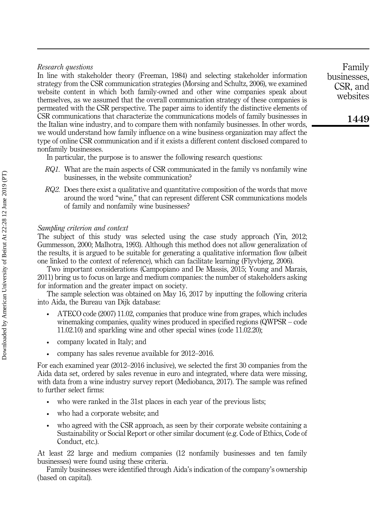# Research questions

In line with stakeholder theory (Freeman, 1984) and selecting stakeholder information strategy from the CSR communication strategies (Morsing and Schultz, 2006), we examined website content in which both family-owned and other wine companies speak about themselves, as we assumed that the overall communication strategy of these companies is permeated with the CSR perspective. The paper aims to identify the distinctive elements of CSR communications that characterize the communications models of family businesses in the Italian wine industry, and to compare them with nonfamily businesses. In other words, we would understand how family influence on a wine business organization may affect the type of online CSR communication and if it exists a different content disclosed compared to nonfamily businesses.

In particular, the purpose is to answer the following research questions:

- RQ1. What are the main aspects of CSR communicated in the family vs nonfamily wine businesses, in the website communication?
- RQ2. Does there exist a qualitative and quantitative composition of the words that move around the word "wine," that can represent different CSR communications models of family and nonfamily wine businesses?

# Sampling criterion and context

The subject of this study was selected using the case study approach (Yin, 2012; Gummesson, 2000; Malhotra, 1993). Although this method does not allow generalization of the results, it is argued to be suitable for generating a qualitative information flow (albeit one linked to the context of reference), which can facilitate learning (Flyvbjerg, 2006).

Two important considerations (Campopiano and De Massis, 2015; Young and Marais, 2011) bring us to focus on large and medium companies: the number of stakeholders asking for information and the greater impact on society.

The sample selection was obtained on May 16, 2017 by inputting the following criteria into Aida, the Bureau van Dijk database:

- ATECO code (2007) 11.02, companies that produce wine from grapes, which includes winemaking companies, quality wines produced in specified regions (QWPSR – code 11.02.10) and sparkling wine and other special wines (code 11.02.20);
- company located in Italy; and
- company has sales revenue available for 2012–2016.

For each examined year (2012–2016 inclusive), we selected the first 30 companies from the Aida data set, ordered by sales revenue in euro and integrated, where data were missing, with data from a wine industry survey report (Mediobanca, 2017). The sample was refined to further select firms:

- who were ranked in the 31st places in each year of the previous lists;
- who had a corporate website; and
- who agreed with the CSR approach, as seen by their corporate website containing a Sustainability or Social Report or other similar document (e.g. Code of Ethics, Code of Conduct, etc.).

At least 22 large and medium companies (12 nonfamily businesses and ten family businesses) were found using these criteria.

Family businesses were identified through Aida's indication of the company's ownership (based on capital).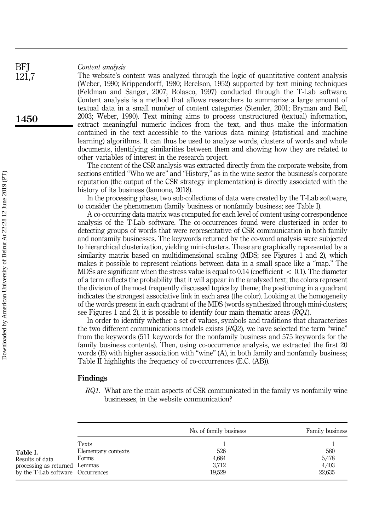Content analysis BFJ

> The website's content was analyzed through the logic of quantitative content analysis (Weber, 1990; Krippendorff, 1980; Berelson, 1952) supported by text mining techniques (Feldman and Sanger, 2007; Bolasco, 1997) conducted through the T-Lab software. Content analysis is a method that allows researchers to summarize a large amount of textual data in a small number of content categories (Stemler, 2001; Bryman and Bell, 2003; Weber, 1990). Text mining aims to process unstructured (textual) information, extract meaningful numeric indices from the text, and thus make the information contained in the text accessible to the various data mining (statistical and machine learning) algorithms. It can thus be used to analyze words, clusters of words and whole documents, identifying similarities between them and showing how they are related to other variables of interest in the research project.

> The content of the CSR analysis was extracted directly from the corporate website, from sections entitled "Who we are" and "History," as in the wine sector the business's corporate reputation (the output of the CSR strategy implementation) is directly associated with the history of its business (Iannone, 2018).

> In the processing phase, two sub-collections of data were created by the T-Lab software, to consider the phenomenon (family business or nonfamily business; see Table I).

> A co-occurring data matrix was computed for each level of content using correspondence analysis of the T-Lab software. The co-occurrences found were clusterized in order to detecting groups of words that were representative of CSR communication in both family and nonfamily businesses. The keywords returned by the co-word analysis were subjected to hierarchical clusterization, yielding mini-clusters. These are graphically represented by a similarity matrix based on multidimensional scaling (MDS; see Figures 1 and 2), which makes it possible to represent relations between data in a small space like a "map." The MDSs are significant when the stress value is equal to  $0.14$  (coefficient  $\langle 0.1 \rangle$ . The diameter of a term reflects the probability that it will appear in the analyzed text; the colors represent the division of the most frequently discussed topics by theme; the positioning in a quadrant indicates the strongest associative link in each area (the color). Looking at the homogeneity of the words present in each quadrant of the MDS (words synthesized through mini-clusters; see Figures 1 and 2), it is possible to identify four main thematic areas (RQ1).

> In order to identify whether a set of values, symbols and traditions that characterizes the two different communications models exists  $(RQ2)$ , we have selected the term "wine" from the keywords (511 keywords for the nonfamily business and 575 keywords for the family business contents). Then, using co-occurrence analysis, we extracted the first 20 words (B) with higher association with "wine" (A), in both family and nonfamily business; Table II highlights the frequency of co-occurrences (E.C. (AB)).

# Findings

RQ1. What are the main aspects of CSR communicated in the family vs nonfamily wine businesses, in the website communication?

|                                   |                     | No. of family business | Family business |
|-----------------------------------|---------------------|------------------------|-----------------|
|                                   | Texts               |                        |                 |
| Table I.                          | Elementary contexts | 526                    | 580             |
| Results of data                   | Forms               | 4,684                  | 5,478           |
| processing as returned Lemmas     |                     | 3,712                  | 4.403           |
| by the T-Lab software Occurrences |                     | 19,529                 | 22,635          |

1450

121,7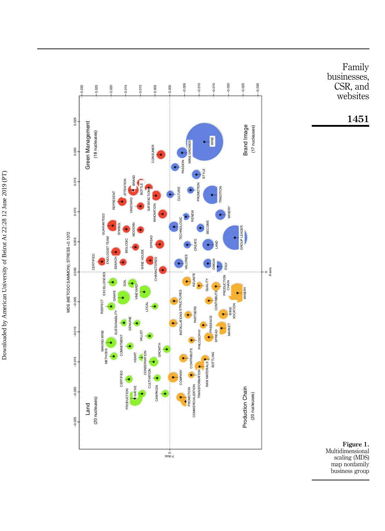

Family businesses, CSR, and websites



Multidimensional scaling (MDS) map nonfamily business group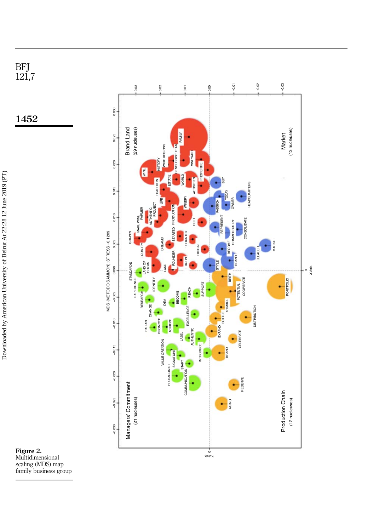

scaling (MDS) map family business group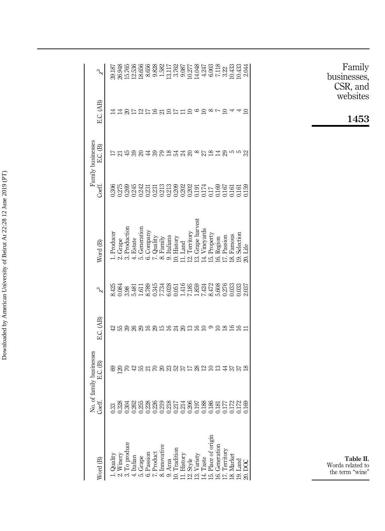| Vord <sup>(B)</sup>                                                                                                                                                                                                                                           | ,<br>etf.                                                                               | No. of family businesses<br>E.C. (B) | E.C. (AB)     | $x^2$ | Word (B)                                                                                                                                                                                                     | Coeff. | Family businesses<br>E.C. (B) | E.C. (AB) |  |
|---------------------------------------------------------------------------------------------------------------------------------------------------------------------------------------------------------------------------------------------------------------|-----------------------------------------------------------------------------------------|--------------------------------------|---------------|-------|--------------------------------------------------------------------------------------------------------------------------------------------------------------------------------------------------------------|--------|-------------------------------|-----------|--|
|                                                                                                                                                                                                                                                               |                                                                                         |                                      | 잎             |       | Producer                                                                                                                                                                                                     |        |                               |           |  |
| 1. Quality<br>2. Winery<br>3. To produce<br>4. Italian<br>5. Grassion<br>6. Passion<br>8. Imordite<br>9. Area<br>10. Tradition<br>11. History<br>13. Variety<br>15. Dace of origin<br>16. Generation<br>16. Generation<br>16. Generation<br>17. Territory<br> | <br>සහ දිනිසින් ස්විධ ටිටි පිලිසින් සිටි ටිටි<br>සහ දිනිසින් ස්විධ ටිටි පිලිසින් පිලිවි | ទី៩៩ភូមិដូនខ្លួនមូនដូនដូនដូ          |               |       |                                                                                                                                                                                                              |        |                               |           |  |
|                                                                                                                                                                                                                                                               |                                                                                         |                                      |               |       | $2. \frac{G}{T}$ 3. Production                                                                                                                                                                               |        |                               |           |  |
|                                                                                                                                                                                                                                                               |                                                                                         |                                      |               |       | 4. Estate                                                                                                                                                                                                    |        |                               |           |  |
|                                                                                                                                                                                                                                                               |                                                                                         |                                      |               |       |                                                                                                                                                                                                              |        |                               |           |  |
|                                                                                                                                                                                                                                                               |                                                                                         |                                      | ぬはぬほほ         |       | 5. Generation<br>6. Company<br>6. Company<br>7. Quality<br>8. Family<br>9. Italians<br>10. History<br>11. Land<br>12. Greenbards<br>14. Vineyards<br>15. Property<br>16. Region<br>16. Region<br>17. Passion |        |                               |           |  |
|                                                                                                                                                                                                                                                               |                                                                                         |                                      |               |       |                                                                                                                                                                                                              |        |                               |           |  |
|                                                                                                                                                                                                                                                               |                                                                                         |                                      |               |       |                                                                                                                                                                                                              |        |                               |           |  |
|                                                                                                                                                                                                                                                               |                                                                                         |                                      |               |       |                                                                                                                                                                                                              |        |                               |           |  |
|                                                                                                                                                                                                                                                               |                                                                                         |                                      |               |       |                                                                                                                                                                                                              |        |                               |           |  |
|                                                                                                                                                                                                                                                               |                                                                                         |                                      | g             |       |                                                                                                                                                                                                              |        |                               |           |  |
|                                                                                                                                                                                                                                                               |                                                                                         |                                      | $\mathbb{C}2$ |       |                                                                                                                                                                                                              |        |                               |           |  |
|                                                                                                                                                                                                                                                               |                                                                                         |                                      |               |       |                                                                                                                                                                                                              |        |                               |           |  |
|                                                                                                                                                                                                                                                               |                                                                                         |                                      |               |       |                                                                                                                                                                                                              |        | 5272                          |           |  |
|                                                                                                                                                                                                                                                               |                                                                                         |                                      |               |       |                                                                                                                                                                                                              |        |                               |           |  |
|                                                                                                                                                                                                                                                               |                                                                                         |                                      |               |       |                                                                                                                                                                                                              |        |                               |           |  |
|                                                                                                                                                                                                                                                               |                                                                                         |                                      |               |       |                                                                                                                                                                                                              |        |                               |           |  |
|                                                                                                                                                                                                                                                               |                                                                                         |                                      |               |       | 18. Famous                                                                                                                                                                                                   |        |                               |           |  |
|                                                                                                                                                                                                                                                               |                                                                                         |                                      |               |       | 19. Selection                                                                                                                                                                                                |        |                               |           |  |
|                                                                                                                                                                                                                                                               | 169                                                                                     |                                      |               |       |                                                                                                                                                                                                              |        |                               |           |  |
|                                                                                                                                                                                                                                                               |                                                                                         |                                      |               |       |                                                                                                                                                                                                              |        |                               |           |  |

Family businesses, CSR, and websites

Table II. Words related to the term "wine"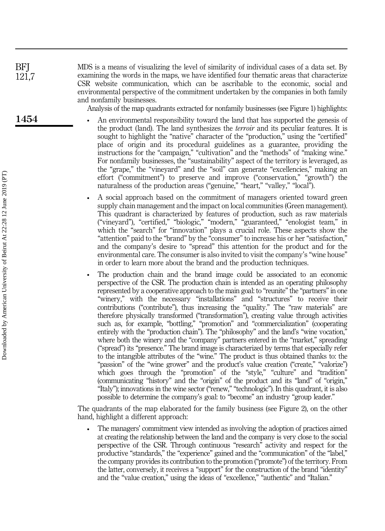MDS is a means of visualizing the level of similarity of individual cases of a data set. By examining the words in the maps, we have identified four thematic areas that characterize CSR website communication, which can be ascribable to the economic, social and environmental perspective of the commitment undertaken by the companies in both family and nonfamily businesses.

Analysis of the map quadrants extracted for nonfamily businesses (see Figure 1) highlights:

- An environmental responsibility toward the land that has supported the genesis of the product (land). The land synthesizes the *terroir* and its peculiar features. It is sought to highlight the "native" character of the "production," using the "certified" place of origin and its procedural guidelines as a guarantee, providing the instructions for the "campaign," "cultivation" and the "methods" of "making wine." For nonfamily businesses, the "sustainability" aspect of the territory is leveraged, as the "grape," the "vineyard" and the "soil" can generate "excellencies," making an effort ("commitment") to preserve and improve ("conservation," "growth") the naturalness of the production areas ("genuine," "heart," "valley," "local").
	- A social approach based on the commitment of managers oriented toward green supply chain management and the impact on local communities (Green management). This quadrant is characterized by features of production, such as raw materials ("vineyard"), "certified," "biologic," "modern," "guaranteed," "enologist team," in which the "search" for "innovation" plays a crucial role. These aspects show the "attention" paid to the "brand" by the "consumer" to increase his or her "satisfaction," and the company's desire to "spread" this attention for the product and for the environmental care. The consumer is also invited to visit the company's "wine house" in order to learn more about the brand and the production techniques.
	- The production chain and the brand image could be associated to an economic perspective of the CSR. The production chain is intended as an operating philosophy represented by a cooperative approach to the main goal: to "reunite" the "partners" in one "winery," with the necessary "installations" and "structures" to receive their contributions ("contribute"), thus increasing the "quality." The "raw materials" are therefore physically transformed ("transformation"), creating value through activities such as, for example, "bottling," "promotion" and "commercialization" (cooperating entirely with the "production chain"). The "philosophy" and the land's "wine vocation," where both the winery and the "company" partners entered in the "market," spreading ("spread") its "presence." The brand image is characterized by terms that especially refer to the intangible attributes of the "wine." The product is thus obtained thanks to: the "passion" of the "wine grower" and the product's value creation ("create," "valorize") which goes through the "promotion" of the "style," "culture" and "tradition" (communicating "history" and the "origin" of the product and its "land" of "origin," "Italy"); innovations in the wine sector ("renew," "technologic"). In this quadrant, it is also possible to determine the company's goal: to "become" an industry "group leader."

The quadrants of the map elaborated for the family business (see Figure 2), on the other hand, highlight a different approach:

• The managers' commitment view intended as involving the adoption of practices aimed at creating the relationship between the land and the company is very close to the social perspective of the CSR. Through continuous "research" activity and respect for the productive "standards," the "experience" gained and the "communication" of the "label," the company provides its contribution to the promotion ("promote") of the territory. From the latter, conversely, it receives a "support" for the construction of the brand "identity" and the "value creation," using the ideas of "excellence," "authentic" and "Italian."

1454

BFJ 121,7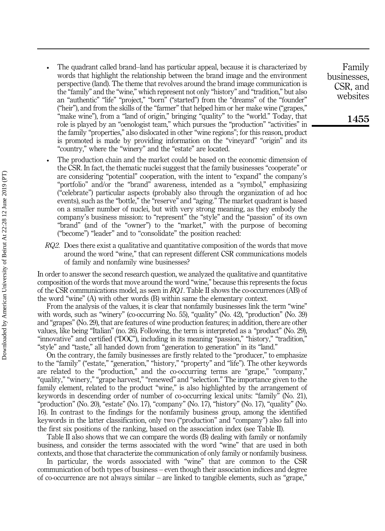- The quadrant called brand–land has particular appeal, because it is characterized by words that highlight the relationship between the brand image and the environment perspective (land). The theme that revolves around the brand image communication is the "family" and the "wine," which represent not only "history" and "tradition," but also an "authentic" "life" "project," "born" ("started") from the "dreams" of the "founder" ("heir"), and from the skills of the "farmer" that helped him or her make wine ("grapes," "make wine"), from a "land of origin," bringing "quality" to the "world." Today, that role is played by an "oenologist team," which pursues the "production" "activities" in the family "properties," also dislocated in other "wine regions"; for this reason, product is promoted is made by providing information on the "vineyard" "origin" and its "country," where the "winery" and the "estate" are located.
- The production chain and the market could be based on the economic dimension of the CSR. In fact, the thematic nuclei suggest that the family businesses "cooperate" or are considering "potential" cooperation, with the intent to "expand" the company's "portfolio" and/or the "brand" awareness, intended as a "symbol," emphasizing ("celebrate") particular aspects (probably also through the organization of ad hoc events), such as the "bottle," the "reserve" and "aging." The market quadrant is based on a smaller number of nuclei, but with very strong meaning, as they embody the company's business mission: to "represent" the "style" and the "passion" of its own "brand" (and of the "owner") to the "market," with the purpose of becoming ("become") "leader" and to "consolidate" the position reached:
- RQ2. Does there exist a qualitative and quantitative composition of the words that move around the word "wine," that can represent different CSR communications models of family and nonfamily wine businesses?

In order to answer the second research question, we analyzed the qualitative and quantitative composition of the words that move around the word "wine," because this represents the focus of the CSR communications model, as seen in RQ1. Table II shows the co-occurrences (AB) of the word "wine" (A) with other words (B) within same the elementary context.

From the analysis of the values, it is clear that nonfamily businesses link the term "wine" with words, such as "winery" (co-occurring No. 55), "quality" (No. 42), "production" (No. 39) and "grapes" (No. 29), that are features of wine production features; in addition, there are other values, like being "Italian" (no. 26). Following, the term is interpreted as a "product" (No. 29), "innovative" and certified ("DOC"), including in its meaning "passion," "history," "tradition," "style" and "taste," all handed down from "generation to generation" in its "land."

On the contrary, the family businesses are firstly related to the "producer," to emphasize to the "family" ("estate," "generation," "history," "property" and "life"). The other keywords are related to the "production," and the co-occurring terms are "grape," "company," "quality," "winery," "grape harvest," "renewed" and "selection." The importance given to the family element, related to the product "wine," is also highlighted by the arrangement of keywords in descending order of number of co-occurring lexical units: "family" (No. 21), "production" (No. 20), "estate" (No. 17), "company" (No. 17), "history" (No. 17), "quality" (No. 16). In contrast to the findings for the nonfamily business group, among the identified keywords in the latter classification, only two ("production" and "company") also fall into the first six positions of the ranking, based on the association index (see Table II).

Table II also shows that we can compare the words (B) dealing with family or nonfamily business, and consider the terms associated with the word "wine" that are used in both contexts, and those that characterize the communication of only family or nonfamily business.

In particular, the words associated with "wine" that are common to the CSR communication of both types of business – even though their association indices and degree of co-occurrence are not always similar – are linked to tangible elements, such as "grape,"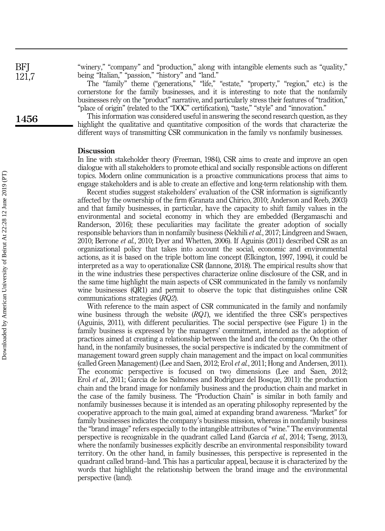"winery," "company" and "production," along with intangible elements such as "quality," being "Italian," "passion," "history" and "land."

The "family" theme ("generations," "life," "estate," "property," "region," etc.) is the cornerstone for the family businesses, and it is interesting to note that the nonfamily businesses rely on the "product" narrative, and particularly stress their features of "tradition," "place of origin" (related to the "DOC" certification), "taste," "style" and "innovation."

This information was considered useful in answering the second research question, as they highlight the qualitative and quantitative composition of the words that characterize the different ways of transmitting CSR communication in the family vs nonfamily businesses.

#### **Discussion**

In line with stakeholder theory (Freeman, 1984), CSR aims to create and improve an open dialogue with all stakeholders to promote ethical and socially responsible actions on different topics. Modern online communication is a proactive communications process that aims to engage stakeholders and is able to create an effective and long-term relationship with them.

Recent studies suggest stakeholders' evaluation of the CSR information is significantly affected by the ownership of the firm (Granata and Chirico, 2010; Anderson and Reeb, 2003) and that family businesses, in particular, have the capacity to shift family values in the environmental and societal economy in which they are embedded (Bergamaschi and Randerson, 2016); these peculiarities may facilitate the greater adoption of socially responsible behaviors than in nonfamily business (Nekhili et al., 2017; Lindgreen and Swaen, 2010; Berrone et al., 2010; Dyer and Whetten, 2006). If Aguinis (2011) described CSR as an organizational policy that takes into account the social, economic and environmental actions, as it is based on the triple bottom line concept (Elkington, 1997, 1994), it could be interpreted as a way to operationalize CSR (Iannone, 2018). The empirical results show that in the wine industries these perspectives characterize online disclosure of the CSR, and in the same time highlight the main aspects of CSR communicated in the family vs nonfamily wine businesses (QR1) and permit to observe the topic that distinguishes online CSR communications strategies (RQ2).

With reference to the main aspect of CSR communicated in the family and nonfamily wine business through the website  $(RQ1)$ , we identified the three CSR's perspectives (Aguinis, 2011), with different peculiarities. The social perspective (see Figure 1) in the family business is expressed by the managers' commitment, intended as the adoption of practices aimed at creating a relationship between the land and the company. On the other hand, in the nonfamily businesses, the social perspective is indicated by the commitment of management toward green supply chain management and the impact on local communities (called Green Management) (Lee and Saen, 2012; Erol et al., 2011; Hong and Andersen, 2011). The economic perspective is focused on two dimensions (Lee and Saen, 2012; Erol et al., 2011; Garcia de los Salmones and Rodriguez del Bosque, 2011): the production chain and the brand image for nonfamily business and the production chain and market in the case of the family business. The "Production Chain" is similar in both family and nonfamily businesses because it is intended as an operating philosophy represented by the cooperative approach to the main goal, aimed at expanding brand awareness. "Market" for family businesses indicates the company's business mission, whereas in nonfamily business the "brand image" refers especially to the intangible attributes of "wine." The environmental perspective is recognizable in the quadrant called Land (García et al., 2014; Tseng, 2013), where the nonfamily businesses explicitly describe an environmental responsibility toward territory. On the other hand, in family businesses, this perspective is represented in the quadrant called brand–land. This has a particular appeal, because it is characterized by the words that highlight the relationship between the brand image and the environmental perspective (land).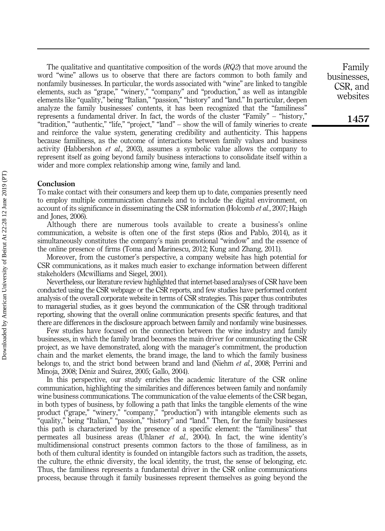The qualitative and quantitative composition of the words  $(RQ2)$  that move around the word "wine" allows us to observe that there are factors common to both family and nonfamily businesses. In particular, the words associated with "wine" are linked to tangible elements, such as "grape," "winery," "company" and "production," as well as intangible elements like "quality," being "Italian," "passion," "history" and "land." In particular, deepen analyze the family businesses' contents, it has been recognized that the "familiness" represents a fundamental driver. In fact, the words of the cluster "Family"–"history," "tradition," "authentic," "life," "project," "land" – show the will of family wineries to create and reinforce the value system, generating credibility and authenticity. This happens because familiness, as the outcome of interactions between family values and business activity (Habbershon *et al.*, 2003), assumes a symbolic value allows the company to represent itself as going beyond family business interactions to consolidate itself within a wider and more complex relationship among wine, family and land.

# Conclusion

To make contact with their consumers and keep them up to date, companies presently need to employ multiple communication channels and to include the digital environment, on account of its significance in disseminating the CSR information (Holcomb *et al.*, 2007; Haigh and Jones, 2006).

Although there are numerous tools available to create a business's online communication, a website is often one of the first steps (Rios and Pablo, 2014), as it simultaneously constitutes the company's main promotional "window" and the essence of the online presence of firms (Toma and Marinescu, 2012; Kung and Zhang, 2011).

Moreover, from the customer's perspective, a company website has high potential for CSR communications, as it makes much easier to exchange information between different stakeholders (Mcwilliams and Siegel, 2001).

Nevertheless, our literature review highlighted that internet-based analyses of CSR have been conducted using the CSR webpage or the CSR reports, and few studies have performed content analysis of the overall corporate website in terms of CSR strategies. This paper thus contributes to managerial studies, as it goes beyond the communication of the CSR through traditional reporting, showing that the overall online communication presents specific features, and that there are differences in the disclosure approach between family and nonfamily wine businesses.

Few studies have focused on the connection between the wine industry and family businesses, in which the family brand becomes the main driver for communicating the CSR project, as we have demonstrated, along with the manager's commitment, the production chain and the market elements, the brand image, the land to which the family business belongs to, and the strict bond between brand and land (Niehm et al., 2008; Perrini and Minoja, 2008; Déniz and Suárez, 2005; Gallo, 2004).

In this perspective, our study enriches the academic literature of the CSR online communication, highlighting the similarities and differences between family and nonfamily wine business communications. The communication of the value elements of the CSR began, in both types of business, by following a path that links the tangible elements of the wine product ("grape," "winery," "company," "production") with intangible elements such as "quality," being "Italian," "passion," "history" and "land." Then, for the family businesses this path is characterized by the presence of a specific element: the "familiness" that permeates all business areas (Uhlaner *et al.*, 2004). In fact, the wine identity's multidimensional construct presents common factors to the those of familiness, as in both of them cultural identity is founded on intangible factors such as tradition, the assets, the culture, the ethnic diversity, the local identity, the trust, the sense of belonging, etc. Thus, the familiness represents a fundamental driver in the CSR online communications process, because through it family businesses represent themselves as going beyond the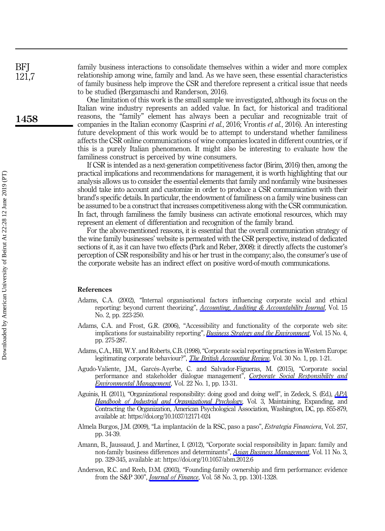family business interactions to consolidate themselves within a wider and more complex relationship among wine, family and land. As we have seen, these essential characteristics of family business help improve the CSR and therefore represent a critical issue that needs to be studied (Bergamaschi and Randerson, 2016).

One limitation of this work is the small sample we investigated, although its focus on the Italian wine industry represents an added value. In fact, for historical and traditional reasons, the "family" element has always been a peculiar and recognizable trait of companies in the Italian economy (Casprini et al., 2016; Vrontis et al., 2016). An interesting future development of this work would be to attempt to understand whether familiness affects the CSR online communications of wine companies located in different countries, or if this is a purely Italian phenomenon. It might also be interesting to evaluate how the familiness construct is perceived by wine consumers.

If CSR is intended as a next-generation competitiveness factor (Birim, 2016) then, among the practical implications and recommendations for management, it is worth highlighting that our analysis allows us to consider the essential elements that family and nonfamily wine businesses should take into account and customize in order to produce a CSR communication with their brand's specific details. In particular, the endowment of familiness on a family wine business can be assumed to be a construct that increases competitiveness along with the CSR communication. In fact, through familiness the family business can activate emotional resources, which may represent an element of differentiation and recognition of the family brand.

For the above-mentioned reasons, it is essential that the overall communication strategy of the wine family businesses' website is permeated with the CSR perspective, instead of dedicated sections of it, as it can have two effects (Park and Reber, 2008): it directly affects the customer's perception of CSR responsibility and his or her trust in the company; also, the consumer's use of the corporate website has an indirect effect on positive word-of-mouth communications.

### References

- Adams, C.A. (2002), "Internal organisational factors influencing corporate social and ethical reporting: beyond current theorizing", *[Accounting, Auditing & Accountability Journal](https://www.emeraldinsight.com/action/showLinks?doi=10.1108%2FBFJ-07-2018-0445&system=10.1108%2F09513570210418905&citationId=p_1)*, Vol. 15 No. 2, pp. 223-250.
- Adams, C.A. and Frost, G.R. (2006), "Accessibility and functionality of the corporate web site: implications for sustainability reporting", *[Business Strategy and the Environment](https://www.emeraldinsight.com/action/showLinks?doi=10.1108%2FBFJ-07-2018-0445&crossref=10.1002%2Fbse.531&citationId=p_2)*, Vol. 15 No. 4, pp. 275-287.
- Adams, C.A., Hill, W.Y. and Roberts, C.B. (1998), "Corporate social reporting practices in Western Europe: legitimating corporate behaviour?", *[The British Accounting Review](https://www.emeraldinsight.com/action/showLinks?doi=10.1108%2FBFJ-07-2018-0445&crossref=10.1006%2Fbare.1997.0060&citationId=p_3)*, Vol. 30 No. 1, pp. 1-21.
- Agudo-Valiente, J.M., Garcés-Ayerbe, C. and Salvador-Figueras, M. (2015), "Corporate social performance and stakeholder dialogue management", [Corporate Social Responsibility and](https://www.emeraldinsight.com/action/showLinks?doi=10.1108%2FBFJ-07-2018-0445&crossref=10.1002%2Fcsr.1324&isi=000348573500002&citationId=p_4) **[Environmental Management](https://www.emeraldinsight.com/action/showLinks?doi=10.1108%2FBFJ-07-2018-0445&crossref=10.1002%2Fcsr.1324&isi=000348573500002&citationId=p_4)**, Vol. 22 No. 1, pp. 13-31.
- Aguinis, H. (2011), "Organizational responsibility: doing good and doing well", in Zedeck, S. (Ed.), [APA](https://www.emeraldinsight.com/action/showLinks?doi=10.1108%2FBFJ-07-2018-0445&crossref=10.1037%2F12171-024&citationId=p_5) [Handbook of Industrial and Organizational Psychology](https://www.emeraldinsight.com/action/showLinks?doi=10.1108%2FBFJ-07-2018-0445&crossref=10.1037%2F12171-024&citationId=p_5), Vol. 3, Maintaining, Expanding, and Contracting the Organization, American Psychological Association, Washington, DC, pp. 855-879, available at:<https://doi.org/10.1037/12171-024>
- Almela Burgos, J.M. (2009), "La implantación de la RSC, paso a paso", Estrategia Financiera, Vol. 257, pp. 34-39.
- Amann, B., Jaussaud, J. and Martinez, I. (2012), "Corporate social responsibility in Japan: family and non-family business differences and determinants", [Asian Business Management](https://www.emeraldinsight.com/action/showLinks?doi=10.1108%2FBFJ-07-2018-0445&crossref=10.1057%2Fabm.2012.6&isi=000305870600006&citationId=p_7), Vol. 11 No. 3, pp. 329-345, available at:<https://doi.org/10.1057/abm.2012.6>
- Anderson, R.C. and Reeb, D.M. (2003), "Founding-family ownership and firm performance: evidence from the S&P 300", *[Journal of Finance](https://www.emeraldinsight.com/action/showLinks?doi=10.1108%2FBFJ-07-2018-0445&crossref=10.1111%2F1540-6261.00567&isi=000183009700014&citationId=p_8)*, Vol. 58 No. 3, pp. 1301-1328.

1458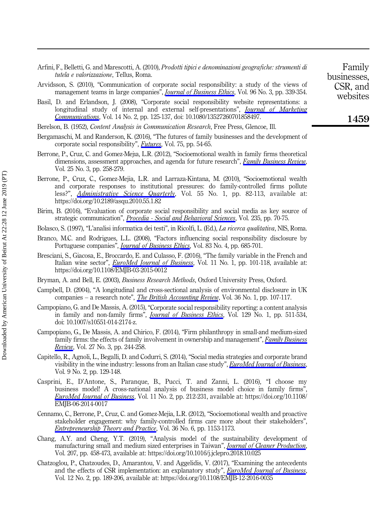Downloaded by American University of Beirut At 22:28 12 June 2019 (PT) Downloaded by American University of Beirut At 22:28 12 June 2019 (PT)

- Arfini, F., Belletti, G. and Marescotti, A. (2010), Prodotti tipici e denominazioni geografiche: strumenti di tutela e valorizzazione, Tellus, Roma.
- Arvidsson, S. (2010), "Communication of corporate social responsibility: a study of the views of management teams in large companies", *[Journal of Business Ethics](https://www.emeraldinsight.com/action/showLinks?doi=10.1108%2FBFJ-07-2018-0445&crossref=10.1007%2Fs10551-010-0469-2&isi=000282269200001&citationId=p_10)*, Vol. 96 No. 3, pp. 339-354.
- Basil, D. and Erlandson, J. (2008), "Corporate social responsibility website representations: a longitudinal study of internal and external self-presentations", *[Journal of Marketing](https://www.emeraldinsight.com/action/showLinks?doi=10.1108%2FBFJ-07-2018-0445&crossref=10.1080%2F13527260701858497&citationId=p_11)* [Communications](https://www.emeraldinsight.com/action/showLinks?doi=10.1108%2FBFJ-07-2018-0445&crossref=10.1080%2F13527260701858497&citationId=p_11), Vol. 14 No. 2, pp. 125-137, doi: 10.1080/13527260701858497.

Berelson, B. (1952), Content Analysis in Communication Research, Free Press, Glencoe, Ill.

- Bergamaschi, M. and Randerson, K. (2016), "The futures of family businesses and the development of corporate social responsibility", *[Futures](https://www.emeraldinsight.com/action/showLinks?doi=10.1108%2FBFJ-07-2018-0445&crossref=10.1016%2Fj.futures.2015.10.006&isi=000369550300006&citationId=p_13)*, Vol. 75, pp. 54-65.
- Berrone, P., Cruz, C. and Gomez-Mejıa, L.R. (2012), "Socioemotional wealth in family firms theoretical dimensions, assessment approaches, and agenda for future research", [Family Business Review](https://www.emeraldinsight.com/action/showLinks?doi=10.1108%2FBFJ-07-2018-0445&crossref=10.1177%2F0894486511435355&isi=000308223700003&citationId=p_14), Vol. 25 No. 3, pp. 258-279.
- Berrone, P., Cruz, C., Gomez-Mejia, L.R. and Larraza-Kintana, M. (2010), "Socioemotional wealth and corporate responses to institutional pressures: do family-controlled firms pollute less?", *[Administrative Science Quarterly](https://www.emeraldinsight.com/action/showLinks?doi=10.1108%2FBFJ-07-2018-0445&crossref=10.2189%2Fasqu.2010.55.1.82&isi=000278386400003&citationId=p_15)*, Vol. 55 No. 1, pp. 82-113, available at: <https://doi.org/10.2189/asqu.2010.55.1.82>
- Birim, B. (2016), "Evaluation of corporate social responsibility and social media as key source of strategic communication", *[Procedia - Social and Behavioral Sciences](https://www.emeraldinsight.com/action/showLinks?doi=10.1108%2FBFJ-07-2018-0445&crossref=10.1016%2Fj.sbspro.2016.11.026&citationId=p_16)*, Vol. 235, pp. 70-75.
- Bolasco, S. (1997), "L'analisi informatica dei testi", in Ricolfi, L. (Ed.), La ricerca qualitativa, NIS, Roma.
- Branco, M.C. and Rodrigues, L.L. (2008), "Factors influencing social responsibility disclosure by Portuguese companies", *[Journal of Business Ethics](https://www.emeraldinsight.com/action/showLinks?doi=10.1108%2FBFJ-07-2018-0445&crossref=10.1007%2Fs10551-007-9658-z&isi=000260617500007&citationId=p_18)*, Vol. 83 No. 4, pp. 685-701.
- Bresciani, S., Giacosa, E., Broccardo, E. and Culasso, F. (2016), "The family variable in the French and Italian wine sector", *[EuroMed Journal of Business](https://www.emeraldinsight.com/action/showLinks?doi=10.1108%2FBFJ-07-2018-0445&system=10.1108%2FEMJB-03-2015-0012&isi=000389345700005&citationId=p_19)*, Vol. 11 No. 1, pp. 101-118, available at: <https://doi.org/10.1108/EMJB-03-2015-0012>
- Bryman, A. and Bell, E. (2003), Business Research Methods, Oxford University Press, Oxford.
- Campbell, D. (2004), "A longitudinal and cross-sectional analysis of environmental disclosure in UK companies – a research note", *[The British Accounting Review](https://www.emeraldinsight.com/action/showLinks?doi=10.1108%2FBFJ-07-2018-0445&crossref=10.1016%2Fj.bar.2003.09.001&citationId=p_21)*, Vol. 36 No. 1, pp. 107-117.
- Campopiano, G. and De Massis, A. (2015), "Corporate social responsibility reporting: a content analysis in family and non-family firms", *[Journal of Business Ethics](https://www.emeraldinsight.com/action/showLinks?doi=10.1108%2FBFJ-07-2018-0445&crossref=10.1007%2Fs10551-014-2174-z&citationId=p_22)*, Vol. 129 No. 1, pp. 511-534, doi: 10.1007/s10551-014-2174-z.
- Campopiano, G., De Massis, A. and Chirico, F. (2014), "Firm philanthropy in small-and medium-sized family firms: the effects of family involvement in ownership and management", [Family Business](https://www.emeraldinsight.com/action/showLinks?doi=10.1108%2FBFJ-07-2018-0445&crossref=10.1177%2F0894486514538450&isi=000341812100004&citationId=p_23) [Review](https://www.emeraldinsight.com/action/showLinks?doi=10.1108%2FBFJ-07-2018-0445&crossref=10.1177%2F0894486514538450&isi=000341812100004&citationId=p_23), Vol. 27 No. 3, pp. 244-258.
- Capitello, R., Agnoli, L., Begalli, D. and Codurri, S. (2014), "Social media strategies and corporate brand visibility in the wine industry: lessons from an Italian case study", *[EuroMed Journal of Business](https://www.emeraldinsight.com/action/showLinks?doi=10.1108%2FBFJ-07-2018-0445&system=10.1108%2FEMJB-10-2013-0046&citationId=p_24)*, Vol. 9 No. 2, pp. 129-148.
- Casprini, E., D'Antone, S., Paranque, B., Pucci, T. and Zanni, L. (2016), "I choose my business model! A cross-national analysis of business model choice in family firms", [EuroMed Journal of Business](https://www.emeraldinsight.com/action/showLinks?doi=10.1108%2FBFJ-07-2018-0445&system=10.1108%2FEMJB-06-2014-0017&isi=000393374300003&citationId=p_25), Vol. 11 No. 2, pp. 212-231, available at: [https://doi.org/10.1108/](https://doi.org/10.1108/EMJB-06-2014-0017) [EMJB-06-2014-0017](https://doi.org/10.1108/EMJB-06-2014-0017)
- Cennamo, C., Berrone, P., Cruz, C. and Gomez-Mejia, L.R. (2012), "Socioemotional wealth and proactive stakeholder engagement: why family-controlled firms care more about their stakeholders", **[Entrepreneurship Theory and Practice](https://www.emeraldinsight.com/action/showLinks?doi=10.1108%2FBFJ-07-2018-0445&crossref=10.1111%2Fj.1540-6520.2012.00543.x&isi=000310599400004&citationId=p_26)**, Vol. 36 No. 6, pp. 1153-1173.
- Chang, A.Y. and Cheng, Y.T. (2019), "Analysis model of the sustainability development of manufacturing small and medium sized enterprises in Taiwan", *[Journal of Cleaner Production](https://www.emeraldinsight.com/action/showLinks?doi=10.1108%2FBFJ-07-2018-0445&crossref=10.1016%2Fj.jclepro.2018.10.025&isi=000451105200038&citationId=p_27)*, Vol. 207, pp. 458-473, available at:<https://doi.org/10.1016/j.jclepro.2018.10.025>
- Chatzoglou, P., Chatzoudes, D., Amarantou, V. and Aggelidis, V. (2017), "Examining the antecedents and the effects of CSR implementation: an explanatory study", *[EuroMed Journal of Business](https://www.emeraldinsight.com/action/showLinks?doi=10.1108%2FBFJ-07-2018-0445&system=10.1108%2FEMJB-12-2016-0035&isi=000404768500004&citationId=p_28)*, Vol. 12 No. 2, pp. 189-206, available at:<https://doi.org/10.1108/EMJB-12-2016-0035>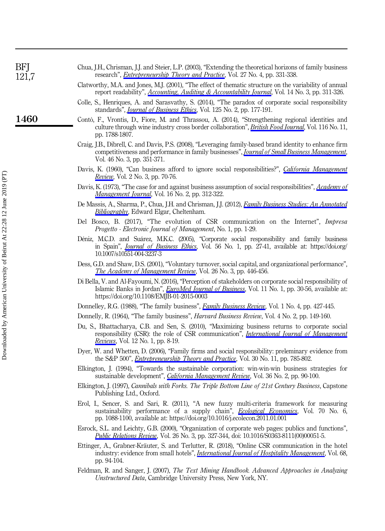| 3FJ<br>21,7 | Chua, I.H., Chrisman, I.I. and Steier, L.P. (2003), "Extending the theoretical horizons of family business<br>research", <i>Entrepreneurship Theory and Practice</i> , Vol. 27 No. 4, pp. 331-338.                                                               |
|-------------|------------------------------------------------------------------------------------------------------------------------------------------------------------------------------------------------------------------------------------------------------------------|
|             | Clatworthy, M.A. and Jones, M.J. (2001), "The effect of thematic structure on the variability of annual<br>report readability", Accounting, Auditing & Accountability Journal, Vol. 14 No. 3, pp. 311-326.                                                       |
|             | Colle, S., Henriques, A. and Sarasvathy, S. (2014), "The paradox of corporate social responsibility<br>standards", <i>Journal of Business Ethics</i> , Vol. 125 No. 2, pp. 177-191.                                                                              |
| -460        | Contò, F., Vrontis, D., Fiore, M. and Thrassou, A. (2014), "Strengthening regional identities and<br>culture through wine industry cross border collaboration", <i>British Food Journal</i> , Vol. 116 No. 11,<br>pp. 1788-1807.                                 |
|             | Craig, J.B., Dibrell, C. and Davis, P.S. (2008), "Leveraging family-based brand identity to enhance firm<br>competitiveness and performance in family businesses", <i>Journal of Small Business Management</i> ,<br>Vol. 46 No. 3, pp. 351-371.                  |
|             | Davis, K. (1960), "Can business afford to ignore social responsibilities?", <i>California Management</i><br><i>Review</i> , Vol. 2 No. 3, pp. 70-76.                                                                                                             |
|             | Davis, K. (1973), "The case for and against business assumption of social responsibilities", <i>Academy of</i><br><i>Management Journal</i> , Vol. 16 No. 2, pp. 312-322.                                                                                        |
|             | De Massis, A., Sharma, P., Chua, J.H. and Chrisman, J.J. (2012), <i>Family Business Studies: An Annotated</i><br><b>Bibliography</b> , Edward Elgar, Cheltenham.                                                                                                 |
|             | Del Bosco, B. (2017), "The evolution of CSR communication on the Internet", Impresa<br><i>Progetto - Electronic Journal of Management, No. 1, pp. 1-29.</i>                                                                                                      |
|             | Déniz, M.C.D. and Suárez, M.K.C. (2005), "Corporate social responsibility and family business<br>in Spain", <i>Journal of Business Ethics</i> , Vol. 56 No. 1, pp. 27-41, available at: https://doi.org/<br>10.1007/s10551-004-3237-3                            |
|             | Dess, G.D. and Shaw, D.S. (2001), "Voluntary turnover, social capital, and organizational performance",<br><i>The Academy of Management Review, Vol. 26 No. 3, pp. 446-456.</i>                                                                                  |
|             | Di Bella, V. and Al-Fayoumi, N. (2016), "Perception of stakeholders on corporate social responsibility of<br>Islamic Banks in Jordan", <i>EuroMed Journal of Business</i> , Vol. 11 No. 1, pp. 30-56, available at:<br>https://doi.org/10.1108/EMJB-01-2015-0003 |
|             | Donnelley, R.G. (1988), "The family business", Family Business Review, Vol. 1 No. 4, pp. 427-445.                                                                                                                                                                |
|             | Donnelly, R. (1964), "The family business", <i>Harvard Business Review</i> , Vol. 4 No. 2, pp. 149-160.                                                                                                                                                          |
|             | Du, S., Bhattacharya, C.B. and Sen, S. (2010), "Maximizing business returns to corporate social<br>responsibility (CSR): the role of CSR communication", <i>International Journal of Management</i><br><i>Reviews.</i> Vol. 12 No. 1, pp. 8-19.                  |

- Dyer, W. and Whetten, D. (2006), "Family firms and social responsibility: preleminary evidence from the S&P 500", *[Entrepreneurship Theory and Practice](https://www.emeraldinsight.com/action/showLinks?doi=10.1108%2FBFJ-07-2018-0445&crossref=10.1111%2Fj.1540-6520.2006.00151.x&citationId=p_44)*, Vol. 30 No. 11, pp. 785-802.
- Elkington, J. (1994), "Towards the sustainable corporation: win-win-win business strategies for sustainable development", [California Management Review](https://www.emeraldinsight.com/action/showLinks?doi=10.1108%2FBFJ-07-2018-0445&crossref=10.2307%2F41165746&isi=A1994NJ30400005&citationId=p_45), Vol. 36 No. 2, pp. 90-100.
- Elkington, J. (1997), Cannibals with Forks. The Triple Bottom Line of 21st Century Business, Capstone Publishing Ltd., Oxford.
- Erol, I., Sencer, S. and Sari, R. (2011), "A new fuzzy multi-criteria framework for measuring sustainability performance of a supply chain", *[Ecological Economics](https://www.emeraldinsight.com/action/showLinks?doi=10.1108%2FBFJ-07-2018-0445&crossref=10.1016%2Fj.ecolecon.2011.01.001&isi=000290192700009&citationId=p_47)*, Vol. 70 No. 6, pp. 1088-1100, available at:<https://doi.org/10.1016/j.ecolecon.2011.01.001>
- Esrock, S.L. and Leichty, G.B. (2000), "Organization of corporate web pages: publics and functions", [Public Relations Review](https://www.emeraldinsight.com/action/showLinks?doi=10.1108%2FBFJ-07-2018-0445&crossref=10.1016%2FS0363-8111%2800%2900051-5&isi=000089580700005&citationId=p_48), Vol. 26 No. 3, pp. 327-344, doi: 10.1016/S0363-8111(00)00051-5.
- Ettinger, A., Grabner-Kräuter, S. and Terlutter, R. (2018), "Online CSR communication in the hotel industry: evidence from small hotels", *[International Journal of Hospitality Management](https://www.emeraldinsight.com/action/showLinks?doi=10.1108%2FBFJ-07-2018-0445&crossref=10.1016%2Fj.ijhm.2017.09.002&isi=000418978700011&citationId=p_49)*, Vol. 68, pp. 94-104.
- Feldman, R. and Sanger, J. (2007), The Text Mining Handbook. Advanced Approaches in Analyzing Unstructured Data, Cambridge University Press, New York, NY.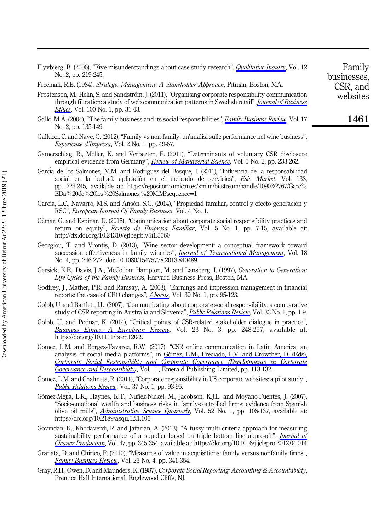| Flyvbjerg, B. (2006), "Five misunderstandings about case-study research", <i>Qualitative Inquiry</i> , Vol. 12<br>No. 2, pp. 219-245.                                                                                                                                                                                                                                  | Family<br>businesses, |
|------------------------------------------------------------------------------------------------------------------------------------------------------------------------------------------------------------------------------------------------------------------------------------------------------------------------------------------------------------------------|-----------------------|
| Freeman, R.E. (1984), Strategic Management: A Stakeholder Approach, Pitman, Boston, MA.                                                                                                                                                                                                                                                                                | CSR, and              |
| Frostenson, M., Helin, S. and Sandström, J. (2011), "Organising corporate responsibility communication<br>through filtration: a study of web communication patterns in Swedish retail", <i>Journal of Business</i><br><i>Ethics</i> , Vol. 100 No. 1, pp. 31-43.                                                                                                       | websites              |
| Gallo, M.Á. (2004), "The family business and its social responsibilities", Family Business Review, Vol. 17<br>No. 2, pp. 135-149.                                                                                                                                                                                                                                      | 1461                  |
| Gallucci, C. and Nave, G. (2012), "Family vs non-family: un'analisi sulle performance nel wine business",<br><i>Esperienze d'Impresa</i> , Vol. 2 No. 1, pp. 49-67.                                                                                                                                                                                                    |                       |
| Gamerschlag, R., Moller, K. and Verbeeten, F. (2011), "Determinants of voluntary CSR disclosure<br>empirical evidence from Germany", Review of Managerial Science, Vol. 5 No. 2, pp. 233-262.                                                                                                                                                                          |                       |
| García de los Salmones, M.M. and Rodríguez del Bosque, I. (2011), "Influencia de la responsabilidad<br>social en la lealtad: aplicación en el mercado de servicios", Esic Market, Vol. 138,<br>pp. 223-245, available at: https://repositorio.unican.es/xmlui/bitstream/handle/10902/2767/Garc%<br>EDa%20de%20los%20Salmones,%20M.M?sequence=1                         |                       |
| García, L.C., Navarro, M.S. and Ansón, S.G. (2014), "Propiedad familiar, control y efecto generación y<br>RSC", European Journal Of Family Business, Vol. 4 No. 1.                                                                                                                                                                                                     |                       |
| Gémar, G. and Espinar, D. (2015), "Communication about corporate social responsibility practices and<br>return on equity", Revista de Empresa Familiar, Vol. 5 No. 1, pp. 7-15, available at:<br>http://dx.doi.org/10.24310/ejfbejfb.v5i1.5060                                                                                                                         |                       |
| Georgiou, T. and Vrontis, D. (2013), "Wine sector development: a conceptual framework toward<br>succession effectiveness in family wineries", <i>Journal of Transnational Management</i> , Vol. 18<br>No. 4, pp. 246-272, doi: 10.1080/15475778.2013.840489.                                                                                                           |                       |
| Gersick, K.E., Davis, J.A., McCollom Hampton, M. and Lansberg, I. (1997), Generation to Generation:<br>Life Cycles of the Family Business, Harvard Business Press, Boston, MA.                                                                                                                                                                                         |                       |
| Godfrey, J., Mather, P.R. and Ramsay, A. (2003), "Earnings and impression management in financial<br>reports: the case of CEO changes", <i>Abacus</i> , Vol. 39 No. 1, pp. 95-123.                                                                                                                                                                                     |                       |
| Golob, U. and Bartlett, J.L. (2007), "Communicating about corporate social responsibility: a comparative<br>study of CSR reporting in Australia and Slovenia", <i>Public Relations Review</i> , Vol. 33 No. 1, pp. 1-9.                                                                                                                                                |                       |
| Golob, U. and Podnar, K. (2014), "Critical points of CSR-related stakeholder dialogue in practice",<br>Business Ethics: A European Review, Vol. 23 No. 3, pp. 248-257, available at:<br>https://doi.org/10.1111/beer.12049                                                                                                                                             |                       |
| Gomez, L.M. and Borges-Tavarez, R.W. (2017), "CSR online communication in Latin America: an<br>analysis of social media platforms", in Gómez, L.M., Preciado, L.V. and Crowther, D. (Eds),<br>Corporate Social Responsibility and Corporate Governance (Developments in Corporate<br>Governance and Responsibility), Vol. 11, Emerald Publishing Limited, pp. 113-132. |                       |
| Gomez, L.M. and Chalmeta, R. (2011), "Corporate responsibility in US corporate websites: a pilot study",<br><i>Public Relations Review</i> , Vol. 37 No. 1, pp. 93-95.                                                                                                                                                                                                 |                       |
| Gómez-Mejia, L.R., Haynes, K.T., Nuñez-Nickel, M., Jacobson, K.J.L. and Moyano-Fuentes, J. (2007),<br>"Socio-emotional wealth and business risks in family-controlled firms: evidence from Spanish<br>olive oil mills", <i>Administrative Science Quarterly</i> , Vol. 52 No. 1, pp. 106-137, available at:<br>https://doi.org/10.2189/asqu.52.1.106                   |                       |
| Govindan, K., Khodaverdi, R. and Jafarian, A. (2013), "A fuzzy multi criteria approach for measuring<br>sustainability performance of a supplier based on triple bottom line approach", <i>Journal of</i><br>Cleaner Production, Vol. 47, pp. 345-354, available at: https://doi.org/10.1016/j.jclepro.2012.04.014                                                     |                       |
| Granata, D. and Chirico, F. (2010), "Measures of value in acquisitions: family versus nonfamily firms",<br>Family Business Review, Vol. 23 No. 4, pp. 341-354.                                                                                                                                                                                                         |                       |
| Gray, R.H., Owen, D. and Maunders, K. (1987), Corporate Social Reporting: Accounting & Accountability,<br>Prentice Hall International, Englewood Cliffs, NJ.                                                                                                                                                                                                           |                       |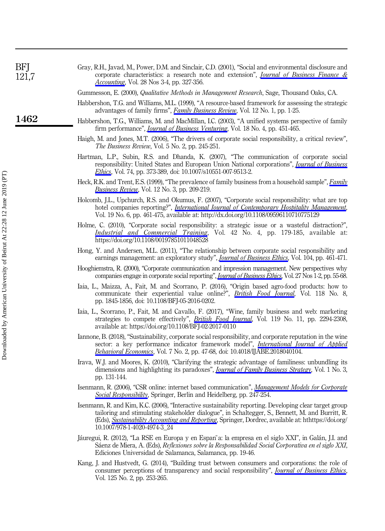| BFJ<br>121,7 | Gray, R.H., Javad, M., Power, D.M. and Sinclair, C.D. (2001), "Social and environmental disclosure and<br>corporate characteristics: a research note and extension", <i>Journal of Business Finance</i> $\&$<br><i>Accounting</i> , Vol. 28 Nos 3-4, pp. 327-356.                                                  |
|--------------|--------------------------------------------------------------------------------------------------------------------------------------------------------------------------------------------------------------------------------------------------------------------------------------------------------------------|
|              | Gummesson, E. (2000), Qualitative Methods in Management Research, Sage, Thousand Oaks, CA.                                                                                                                                                                                                                         |
|              | Habbershon, T.G. and Williams, M.L. (1999), "A resource-based framework for assessing the strategic<br>advantages of family firms", Family Business Review, Vol. 12 No. 1, pp. 1-25.                                                                                                                               |
| 1462         | Habbershon, T.G., Williams, M. and MacMillan, I.C. (2003), "A unified systems perspective of family<br>firm performance", <i>Journal of Business Venturing</i> , Vol. 18 No. 4, pp. 451-465.                                                                                                                       |
|              | Haigh, M. and Jones, M.T. (2006), "The drivers of corporate social responsibility, a critical review",<br><i>The Business Review, Vol.</i> 5 No. 2, pp. 245-251.                                                                                                                                                   |
|              | Hartman, L.P., Subin, R.S. and Dhanda, K. (2007), "The communication of corporate social<br>responsibility: United States and European Union National corporations", <i>Journal of Business</i><br><i>Ethics</i> , Vol. 74, pp. 373-389, doi: 10.1007/s10551-007-9513-2.                                           |
|              | Heck, R.K. and Trent, E.S. (1999), "The prevalence of family business from a household sample", <i>Family</i><br><b>Business Review</b> , Vol. 12 No. 3, pp. 209-219.                                                                                                                                              |
|              | Holcomb, J.L., Upchurch, R.S. and Okumus, F. (2007), "Corporate social responsibility: what are top<br>hotel companies reporting?", <i>International Journal of Contemporary Hospitality Management</i> ,<br>Vol. 19 No. 6, pp. 461-475, available at: http://dx.doi.org/10.1108/09596110710775129                 |
|              | Holme, C. (2010), "Corporate social responsibility: a strategic issue or a wasteful distraction?",<br>Industrial and Commercial Training, Vol. 42 No. 4, pp. 179-185, available at:<br>https://doi.org/10.1108/00197851011048528                                                                                   |
|              | Hong, Y. and Andersen, M.L. (2011), "The relationship between corporate social responsibility and<br>earnings management: an exploratory study", <i>Journal of Business Ethics</i> , Vol. 104, pp. 461-471.                                                                                                        |
|              | Hooghiemstra, R. (2000), "Corporate communication and impression management. New perspectives why<br>companies engage in corporate social reporting", <i>Journal of Business Ethics</i> , Vol. 27 Nos 1-2, pp. 55-68.                                                                                              |
|              | Iaia, L., Maizza, A., Fait, M. and Scorrano, P. (2016), "Origin based agro-food products: how to<br>communicate their experiential value online?", <i>British Food Journal</i> , Vol. 118 No. 8,<br>pp. 1845-1856, doi: 10.1108/BFJ-05-2016-0202.                                                                  |
|              | Iaia, L., Scorrano, P., Fait, M. and Cavallo, F. (2017), "Wine, family business and web: marketing<br>strategies to compete effectively", <i>British Food Journal</i> , Vol. 119 No. 11, pp. 2294-2308,<br>available at: https://doi.org/10.1108/BFI-02-2017-0110                                                  |
|              | Iannone, B. (2018), "Sustainability, corporate social responsibility, and corporate reputation in the wine<br>sector: a key performance indicator framework model", <i>International Journal of Applied</i><br><i>Behavioral Economics</i> , Vol. 7 No. 2, pp. 47-68, doi: 10.4018/IJABE.2018040104.               |
|              | Irava, W.J. and Moores, K. (2010), "Clarifying the strategic advantage of familiness: unbundling its<br>dimensions and highlighting its paradoxes", <i>Journal of Family Business Strategy</i> , Vol. 1 No. 3,<br>pp. 131-144.                                                                                     |
|              | Isenmann, R. (2006), "CSR online: internet based communication", <i>Management Models for Corporate</i><br>Social Responsibility, Springer, Berlin and Heidelberg, pp. 247-254.                                                                                                                                    |
|              | Isenmann, R. and Kim, K.C. (2006), "Interactive sustainability reporting. Developing clear target group<br>tailoring and stimulating stakeholder dialogue", in Schaltegger, S., Bennett, M. and Burritt, R.<br>(Eds), Sustainability Accounting and Reporting, Springer, Dordrec, available at: hthttps://doi.org/ |

Jáuregui, R. (2012), "La RSE en Europa y en Españ a: la empresa en el siglo XXI", in Galán, J.I. and Sáenz de Miera, A. (Eds), Reflexiones sobre la Responsabilidad Social Corporativa en el siglo XXI, Ediciones Universidad de Salamanca, Salamanca, pp. 19-46.

[10.1007/978-1-4020-4974-3\\_24](hthttps://doi.org/10.1007/978-1-4020-4974-3_24)

Downloaded by American University of Beirut At 22:28 12 June 2019 (PT) Downloaded by American University of Beirut At 22:28 12 June 2019 (PT)

> Kang, J. and Hustvedt, G. (2014), "Building trust between consumers and corporations: the role of consumer perceptions of transparency and social responsibility", *[Journal of Business Ethics](https://www.emeraldinsight.com/action/showLinks?doi=10.1108%2FBFJ-07-2018-0445&crossref=10.1007%2Fs10551-013-1916-7&isi=000344093800005&citationId=p_89)*, Vol. 125 No. 2, pp. 253-265.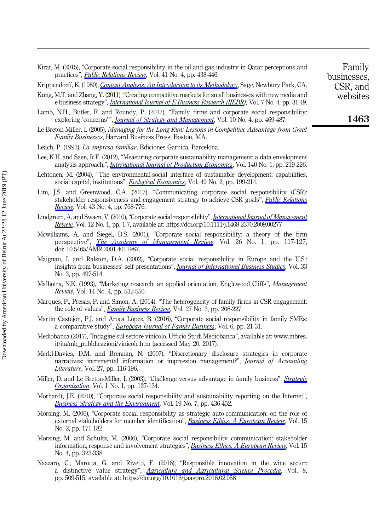Downloaded by American University of Beirut At 22:28 12 June 2019 (PT) Downloaded by American University of Beirut At 22:28 12 June 2019 (PT)

Kirat, M. (2015), "Corporate social responsibility in the oil and gas industry in Qatar perceptions and practices", [Public Relations Review](https://www.emeraldinsight.com/action/showLinks?doi=10.1108%2FBFJ-07-2018-0445&crossref=10.1016%2Fj.pubrev.2015.07.001&isi=000362625300004&citationId=p_90), Vol. 41 No. 4, pp. 438-446.

Krippendorff, K. (1980), [Content Analysis: An Introduction to its Methodology](https://www.emeraldinsight.com/action/showLinks?doi=10.1108%2FBFJ-07-2018-0445&crossref=10.4135%2F9781412961288.n73&citationId=p_91), Sage, Newbury Park, CA.

- Kung, M.T. and Zhang, Y. (2011), "Creating competitive markets for small businesses with new media and e-business strategy", *[International Journal of E-Business Research \(IJEBR\)](https://www.emeraldinsight.com/action/showLinks?doi=10.1108%2FBFJ-07-2018-0445&crossref=10.4018%2Fjebr.2011100103&citationId=p_92)*, Vol. 7 No. 4, pp. 31-49.
- Lamb, N.H., Butler, F. and Roundy, P. (2017), "Family firms and corporate social responsibility: exploring 'concerns'", *[Journal of Strategy and Management](https://www.emeraldinsight.com/action/showLinks?doi=10.1108%2FBFJ-07-2018-0445&system=10.1108%2FJSMA-02-2016-0010&isi=000414964200006&citationId=p_93)*, Vol. 10 No. 4, pp. 469-487.
- Le Breton-Miller, I. (2005), Managing for the Long Run: Lessons in Competitive Advantage from Great Family Businesses, Harvard Business Press, Boston, MA.
- Leach, P. (1993), La empresa familiar, Ediciones Garnica, Barcelona.
- Lee, K.H. and Saen, R.F. (2012), "Measuring corporate sustainability management: a data envelopment analysis approach,", [International Journal of Production Economics](https://www.emeraldinsight.com/action/showLinks?doi=10.1108%2FBFJ-07-2018-0445&crossref=10.1016%2Fj.ijpe.2011.08.024&isi=000309375100022&citationId=p_96), Vol. 140 No. 1, pp. 219-226.
- Lehtonen, M. (2004), "The environmental-social interface of sustainable development: capabilities, social capital, institutions", [Ecological Economics](https://www.emeraldinsight.com/action/showLinks?doi=10.1108%2FBFJ-07-2018-0445&crossref=10.1016%2Fj.ecolecon.2004.03.019&isi=000222391900008&citationId=p_97), Vol. 49 No. 2, pp. 199-214.
- Lim, J.S. and Greenwood, C.A. (2017), "Communicating corporate social responsibility (CSR): stakeholder responsiveness and engagement strategy to achieve CSR goals", [Public Relations](https://www.emeraldinsight.com/action/showLinks?doi=10.1108%2FBFJ-07-2018-0445&crossref=10.1016%2Fj.pubrev.2017.06.007&isi=000410462000013&citationId=p_98) [Review](https://www.emeraldinsight.com/action/showLinks?doi=10.1108%2FBFJ-07-2018-0445&crossref=10.1016%2Fj.pubrev.2017.06.007&isi=000410462000013&citationId=p_98), Vol. 43 No. 4, pp. 768-776.
- Lindgreen, A. and Swaen, V. (2010), "Corporate social responsibility", *[International Journal of Management](https://www.emeraldinsight.com/action/showLinks?doi=10.1108%2FBFJ-07-2018-0445&crossref=10.1111%2Fj.1468-2370.2009.00277.x&isi=000273687300001&citationId=p_99)* [Review](https://www.emeraldinsight.com/action/showLinks?doi=10.1108%2FBFJ-07-2018-0445&crossref=10.1111%2Fj.1468-2370.2009.00277.x&isi=000273687300001&citationId=p_99), Vol. 12 No. 1, pp. 1-7, available at:<https://doi.org/10.1111/j.1468-2370.2009.00277>
- Mcwilliams, A. and Siegel, D.S. (2001), "Corporate social responsibility: a theory of the firm perspective", [The Academy of Management Review](https://www.emeraldinsight.com/action/showLinks?doi=10.1108%2FBFJ-07-2018-0445&crossref=10.5465%2Famr.2001.4011987&isi=000166430200014&citationId=p_100), Vol. 26 No. 1, pp. 117-127, doi: 10.5465/AMR.2001.4011987.
- Maignan, I. and Ralston, D.A. (2002), "Corporate social responsibility in Europe and the U.S.: insights from businesses' self-presentations", *[Journal of International Business Studies](https://www.emeraldinsight.com/action/showLinks?doi=10.1108%2FBFJ-07-2018-0445&crossref=10.1057%2Fpalgrave.jibs.8491028&isi=000177937300005&citationId=p_101)*, Vol. 33 No. 3, pp. 497-514.
- Malhotra, N.K. (1993), "Marketing research: an applied orientation, Englewood Cliffs", Management Review, Vol. 14 No. 4, pp. 532-550.
- Marques, P., Presas, P. and Simon, A. (2014), "The heterogeneity of family firms in CSR engagement: the role of values", [Family Business Review](https://www.emeraldinsight.com/action/showLinks?doi=10.1108%2FBFJ-07-2018-0445&crossref=10.1177%2F0894486514539004&isi=000341812100002&citationId=p_103), Vol. 27 No. 3, pp. 206-227.
- Martín Castejón, P.J. and Aroca López, B. (2016), "Corporate social responsibility in family SMEs: a comparative study", *[European Journal of Family Business](https://www.emeraldinsight.com/action/showLinks?doi=10.1108%2FBFJ-07-2018-0445&crossref=10.1016%2Fj.ejfb.2016.05.002&citationId=p_104)*, Vol. 6, pp. 21-31.
- Mediobanca (2017), "Indagine sul settore vinicolo. Ufficio Studi Mediobanca", available at: [www.mbres.](www.mbres.it/ita/mb_pubblicazioni/vinicole.htm) [it/ita/mb\\_pubblicazioni/vinicole.htm](www.mbres.it/ita/mb_pubblicazioni/vinicole.htm) (accessed May 20, 2017).
- Merkl-Davies, D.M. and Brennan, N. (2007), "Discretionary disclosure strategies in corporate narratives: incremental information or impression management?", Journal of Accounting Literature, Vol. 27, pp. 116-196.
- Miller, D. and Le Breton-Miller, I. (2003), "Challenge versus advantage in family business", [Strategic](https://www.emeraldinsight.com/action/showLinks?doi=10.1108%2FBFJ-07-2018-0445&crossref=10.1177%2F1476127003001001222&citationId=p_107) [Organization](https://www.emeraldinsight.com/action/showLinks?doi=10.1108%2FBFJ-07-2018-0445&crossref=10.1177%2F1476127003001001222&citationId=p_107), Vol. 1 No. 1, pp. 127-134.
- Morhardt, J.E. (2010), "Corporate social responsibility and sustainability reporting on the Internet", [Business Strategy and the Environment](https://www.emeraldinsight.com/action/showLinks?doi=10.1108%2FBFJ-07-2018-0445&isi=000289733000003&citationId=p_108), Vol. 19 No. 7, pp. 436-452.
- Morsing, M. (2006), "Corporate social responsibility as strategic auto-communication: on the role of external stakeholders for member identification", *[Business Ethics: A European Review](https://www.emeraldinsight.com/action/showLinks?doi=10.1108%2FBFJ-07-2018-0445&crossref=10.1111%2Fj.1467-8608.2006.00440.x&citationId=p_109)*, Vol. 15 No. 2, pp. 171-182.
- Morsing, M. and Schultz, M. (2006), "Corporate social responsibility communication: stakeholder information, response and involvement strategies", [Business Ethics: A European Review](https://www.emeraldinsight.com/action/showLinks?doi=10.1108%2FBFJ-07-2018-0445&crossref=10.1111%2Fj.1467-8608.2006.00460.x&citationId=p_110), Vol. 15 No. 4, pp. 323-338.
- Nazzaro, C., Marotta, G. and Rivetti, F. (2016), "Responsible innovation in the wine sector: a distinctive value strategy", [Agriculture and Agricultural Science Procedia](https://www.emeraldinsight.com/action/showLinks?doi=10.1108%2FBFJ-07-2018-0445&crossref=10.1016%2Fj.aaspro.2016.02.058&citationId=p_111), Vol. 8, pp. 509-515, available at:<https://doi.org/10.1016/j.aaspro.2016.02.058>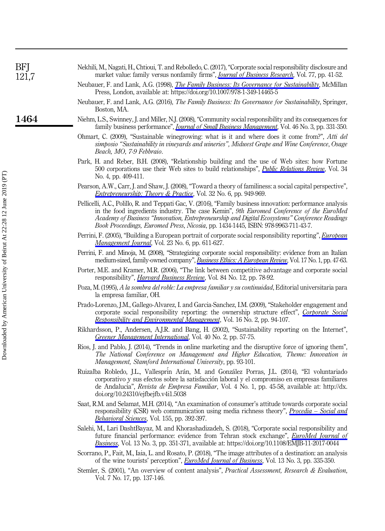| Nekhili, M., Nagati, H., Chtioui, T. and Rebolledo, C. (2017), "Corporate social responsibility disclosure and<br>market value: family versus nonfamily firms", <i>Journal of Business Research</i> , Vol. 77, pp. 41-52.                                                                                                                                                                     |
|-----------------------------------------------------------------------------------------------------------------------------------------------------------------------------------------------------------------------------------------------------------------------------------------------------------------------------------------------------------------------------------------------|
| Neubauer, F. and Lank, A.G. (1998), <i>The Family Business: Its Governance for Sustainability</i> , McMillan<br>Press, London, available at: https://doi.org/10.1007/978-1-349-14465-5                                                                                                                                                                                                        |
| Neubauer, F. and Lank, A.G. (2016), The Family Business: Its Governance for Sustainability, Springer.<br>Boston, MA.                                                                                                                                                                                                                                                                          |
| Niehm, L.S., Swinney, J. and Miller, N.J. (2008), "Community social responsibility and its consequences for<br>family business performance", <i>Journal of Small Business Management</i> , Vol. 46 No. 3, pp. 331-350.                                                                                                                                                                        |
| Ohmart, C. (2009), "Sustainable winegrowing: what is it and where does it come from?", Atti dea<br>simposio "Sustainability in vineyards and wineries", Midwest Grape and Wine Conference, Osage<br>Beach, MO, 7-9 Febbraio.                                                                                                                                                                  |
| Park, H. and Reber, B.H. (2008), "Relationship building and the use of Web sites: how Fortune<br>500 corporations use their Web sites to build relationships", <i>Public Relations Review</i> , Vol. 34<br>No. 4, pp. 409-411.                                                                                                                                                                |
| Pearson, A.W., Carr, J. and Shaw, J. (2008), "Toward a theory of familiness: a social capital perspective"<br><i>Entrepreneurship: Theory &amp; Practice, Vol. 32 No. 6, pp. 949-969.</i>                                                                                                                                                                                                     |
| Pellicelli, A.C., Polillo, R. and Teppati Gac, V. (2016), "Family business innovation: performance analysis<br>in the food ingredients industry. The case Kemin", 9th Euromed Conference of the EuroMea<br>Academy of Business "Innovation, Entrepreneurship and Digital Ecosystems" Conference Readings<br>Book Proceedings, Euromed Press, Nicosia, pp. 1434-1445, ISBN: 978-9963-711-43-7. |
| Perrini, F. (2005), "Building a European portrait of corporate social responsibility reporting", <i>European</i><br>Management Journal, Vol. 23 No. 6, pp. 611-627.                                                                                                                                                                                                                           |
| Perrini, F. and Minoja, M. (2008), "Strategizing corporate social responsibility: evidence from an Italian<br>medium-sized, family-owned company", Business Ethics: A European Review, Vol. 17 No. 1, pp. 47-63.                                                                                                                                                                              |
| Porter, M.E. and Kramer, M.R. (2006), "The link between competitive advantage and corporate social<br>responsibility", <i>Harvard Business Review</i> , Vol. 84 No. 12, pp. 78-92.                                                                                                                                                                                                            |
| Poza, M. (1995), A la sombra del roble: La empresa familiar y su continuidad, Editorial universitaria para<br>la empresa familiar, OH.                                                                                                                                                                                                                                                        |
| Prado-Lorenzo, J.M., Gallego-Alvarez, I. and Garcia-Sanchez, I.M. (2009), "Stakeholder engagement and<br>corporate social responsibility reporting: the ownership structure effect", Corporate Social<br>Responsibility and Environmental Management, Vol. 16 No. 2, pp. 94-107.                                                                                                              |
| Rikhardsson, P., Andersen, A.J.R. and Bang, H. (2002), "Sustainability reporting on the Internet"<br>Greener Management International, Vol. 40 No. 2, pp. 57-75.                                                                                                                                                                                                                              |
| Rios, J. and Pablo, J. (2014), "Trends in online marketing and the disruptive force of ignoring them"<br>The National Conference on Management and Higher Education, Theme: Innovation in<br>Management, Stamford International University, pp. 93-101.                                                                                                                                       |
| Ruizalba Robledo, J.L., Vallesprin Arán, M. and González Porras, J.L. (2014), "El voluntariado<br>corporativo y sus efectos sobre la satisfacción laboral y el compromiso en empresas familiares<br>de Andalucia", Revista de Empresa Familiar, Vol. 4 No. 1, pp. 45-58, available at: http://dx.<br>doi.org/10.24310/eifbeitb.v4i1.5038                                                      |
| Saat, R.M. and Selamat, M.H. (2014), "An examination of consumer's attitude towards corporate social<br>responsibility (CSR) web communication using media richness theory", <i>Procedia - Social and</i><br>Behavioral Sciences, Vol. 155, pp. 392-397.                                                                                                                                      |
| Salehi, M., Lari DashtBayaz, M. and Khorashadizadeh, S. (2018), "Corporate social responsibility and<br>future financial performance: evidence from Tehran stock exchange", EuroMed Journal of<br>Business, Vol. 13 No. 3, pp. 351-371, available at: https://doi.org/10.1108/EMJB-11-2017-0044                                                                                               |
| Scorrano, P., Fait, M., Iaia, L. and Rosato, P. (2018), "The image attributes of a destination: an analysis<br>of the wine tourists' perception", <i>EuroMed Journal of Business</i> , Vol. 13 No. 3, pp. 335-350.                                                                                                                                                                            |
| Stemler, S. (2001), "An overview of content analysis", Practical Assessment, Research & Evaluation.<br>Vol. 7 No. 17, pp. 137-146.                                                                                                                                                                                                                                                            |
|                                                                                                                                                                                                                                                                                                                                                                                               |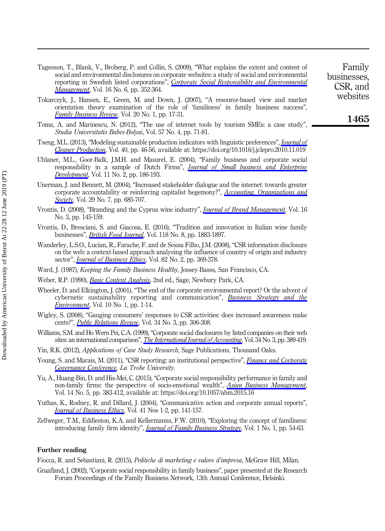- Tagesson, T., Blank, V., Broberg, P. and Collin, S. (2009), "What explains the extent and content of social and environmental disclosures on corporate websites: a study of social and environmental reporting in Swedish listed corporations", [Corporate Social Responsibility and Environmental](https://www.emeraldinsight.com/action/showLinks?doi=10.1108%2FBFJ-07-2018-0445&crossref=10.1002%2Fcsr.194&isi=000281647000005&citationId=p_132) [Management](https://www.emeraldinsight.com/action/showLinks?doi=10.1108%2FBFJ-07-2018-0445&crossref=10.1002%2Fcsr.194&isi=000281647000005&citationId=p_132), Vol. 16 No. 6, pp. 352-364.
- Tokarczyk, J., Hansen, E., Green, M. and Down, J. (2007), "A resource‐based view and market orientation theory examination of the role of 'familiness' in family business success", **[Family Business Review](https://www.emeraldinsight.com/action/showLinks?doi=10.1108%2FBFJ-07-2018-0445&crossref=10.1111%2Fj.1741-6248.2007.00081.x&isi=000244228000002&citationId=p_133), Vol. 20 No. 1, pp. 17-31.**
- Toma, A. and Marinescu, N. (2012), "The use of internet tools by tourism SMEs: a case study", Studia Universitatis Babes-Bolyai, Vol. 57 No. 4, pp. 71-81.
- Tseng, M.L. (2013), "Modeling sustainable production indicators with linguistic preferences", [Journal of](https://www.emeraldinsight.com/action/showLinks?doi=10.1108%2FBFJ-07-2018-0445&crossref=10.1016%2Fj.jclepro.2010.11.019&isi=000312173200007&citationId=p_135) [Cleaner Production](https://www.emeraldinsight.com/action/showLinks?doi=10.1108%2FBFJ-07-2018-0445&crossref=10.1016%2Fj.jclepro.2010.11.019&isi=000312173200007&citationId=p_135), Vol. 40, pp. 46-56, available at:<https://doi.org/10.1016/j.jclepro.2010.11.019>
- Uhlaner, M.L., Goor-Balk, J.M.H. and Masurel, E. (2004), "Family business and corporate social responsibility in a sample of Dutch Firms", *[Journal of Small business and Enterprise](https://www.emeraldinsight.com/action/showLinks?doi=10.1108%2FBFJ-07-2018-0445&system=10.1108%2F14626000410537128&citationId=p_136)* [Development](https://www.emeraldinsight.com/action/showLinks?doi=10.1108%2FBFJ-07-2018-0445&system=10.1108%2F14626000410537128&citationId=p_136), Vol. 11 No. 2, pp. 186-193.
- Unerman, J. and Bennett, M. (2004), "Increased stakeholder dialogue and the internet: towards greater corporate accountability or reinforcing capitalist hegemony?", [Accounting, Organizations and](https://www.emeraldinsight.com/action/showLinks?doi=10.1108%2FBFJ-07-2018-0445&crossref=10.1016%2Fj.aos.2003.10.009&isi=000223572300005&citationId=p_137) [Society](https://www.emeraldinsight.com/action/showLinks?doi=10.1108%2FBFJ-07-2018-0445&crossref=10.1016%2Fj.aos.2003.10.009&isi=000223572300005&citationId=p_137), Vol. 29 No. 7, pp. 685-707.
- Vrontis, D. (2008), "Branding and the Cyprus wine industry", *[Journal of Brand Management](https://www.emeraldinsight.com/action/showLinks?doi=10.1108%2FBFJ-07-2018-0445&crossref=10.1057%2Fbm.2008.1&citationId=p_138)*, Vol. 16 No. 3, pp. 145-159.
- Vrontis, D., Bresciani, S. and Giacosa, E. (2016), "Tradition and innovation in Italian wine family businesses", *[British Food Journal](https://www.emeraldinsight.com/action/showLinks?doi=10.1108%2FBFJ-07-2018-0445&system=10.1108%2FBFJ-05-2016-0192&isi=000381209100004&citationId=p_139)*, Vol. 118 No. 8, pp. 1883-1897.
- Wanderley, L.S.O., Lucian, R., Farache, F. and de Sousa Filho, J.M. (2008), "CSR information disclosure on the web: a context-based approach analysing the influence of country of origin and industry sector", *[Journal of Business Ethics](https://www.emeraldinsight.com/action/showLinks?doi=10.1108%2FBFJ-07-2018-0445&crossref=10.1007%2Fs10551-008-9892-z&isi=000259910600008&citationId=p_140)*, Vol. 82 No. 2, pp. 369-378.
- Ward, J. (1987), *Keeping the Family Business Healthy*, Jossey-Basss, San Francisco, CA.
- Weber, R.P. (1990), *[Basic Content Analysis](https://www.emeraldinsight.com/action/showLinks?doi=10.1108%2FBFJ-07-2018-0445&crossref=10.4135%2F9781412983488&citationId=p_142)*, 2nd ed., Sage, Newbury Park, CA.
- Wheeler, D. and Elkington, J. (2001), "The end of the corporate environmental report? Or the advent of cybernetic sustainability reporting and communication", [Business Strategy and the](https://www.emeraldinsight.com/action/showLinks?doi=10.1108%2FBFJ-07-2018-0445&crossref=10.1002%2F1099-0836%28200101%2F02%2910%3A1%3C1%3A%3AAID-BSE274%3E3.0.CO%3B2-0&citationId=p_143) *[Environment](https://www.emeraldinsight.com/action/showLinks?doi=10.1108%2FBFJ-07-2018-0445&crossref=10.1002%2F1099-0836%28200101%2F02%2910%3A1%3C1%3A%3AAID-BSE274%3E3.0.CO%3B2-0&citationId=p_143)*, Vol. 10 No. 1, pp. 1-14.
- Wigley, S. (2008), "Gauging consumers' responses to CSR activities: does increased awareness make cents?", *[Public Relations Review](https://www.emeraldinsight.com/action/showLinks?doi=10.1108%2FBFJ-07-2018-0445&crossref=10.1016%2Fj.pubrev.2008.03.034&isi=000258421500021&citationId=p_144)*, Vol. 34 No. 3, pp. 306-308.
- Williams, S.M. and Ho Wern Pei, C.A. (1999), "Corporate social disclosures by listed companies on their web sites: an international comparison", *[The International Journal of Accounting](https://www.emeraldinsight.com/action/showLinks?doi=10.1108%2FBFJ-07-2018-0445&crossref=10.1016%2FS0020-7063%2899%2900016-3&citationId=p_145)*, Vol. 34 No. 3, pp. 389-419.
- Yin, R.K. (2012), *Applications of Case Study Research*, Sage Publications, Thousand Oaks.
- Young, S. and Marais, M. (2011), "CSR reporting: an institutional perspective", *[Finance and Corporate](https://www.emeraldinsight.com/action/showLinks?doi=10.1108%2FBFJ-07-2018-0445&crossref=10.2139%2Fssrn.1776193&citationId=p_147)* [Governance Conference](https://www.emeraldinsight.com/action/showLinks?doi=10.1108%2FBFJ-07-2018-0445&crossref=10.2139%2Fssrn.1776193&citationId=p_147), La Trobe University.
- Yu, A., Huang-Bin, D. and His-Mei, C. (2015), "Corporate social responsibility performance in family and non-family firms: the perspective of socio-emotional wealth", [Asian Business Management](https://www.emeraldinsight.com/action/showLinks?doi=10.1108%2FBFJ-07-2018-0445&crossref=10.1057%2Fabm.2015.16&isi=000365840000002&citationId=p_148), Vol. 14 No. 5, pp. 383-412, available at:<https://doi.org/10.1057/abm.2015.16>
- Yuthas, K., Rodney, R. and Dillard, J. (2004), "Communicative action and corporate annual reports", [Journal of Business Ethics](https://www.emeraldinsight.com/action/showLinks?doi=10.1108%2FBFJ-07-2018-0445&isi=000179498000011&citationId=p_149), Vol. 41 Nos 1-2, pp. 141-157.
- Zellweger, T.M., Eddleston, K.A. and Kellermanns, F.W. (2010), "Exploring the concept of familiness: introducing family firm identity", *[Journal of Family Business Strategy](https://www.emeraldinsight.com/action/showLinks?doi=10.1108%2FBFJ-07-2018-0445&crossref=10.1016%2Fj.jfbs.2009.12.003&citationId=p_150)*, Vol. 1 No. 1, pp. 54-63.

## Further reading

Fiocca, R. and Sebastiani, R. (2015), *Politiche di marketing e valore d'impresa*, McGraw Hill, Milan.

Graafland, J. (2002), "Corporate social responsibility in family business", paper presented at the Research Forum Proceedings of the Family Business Network, 13th Annual Conference, Helsinki.